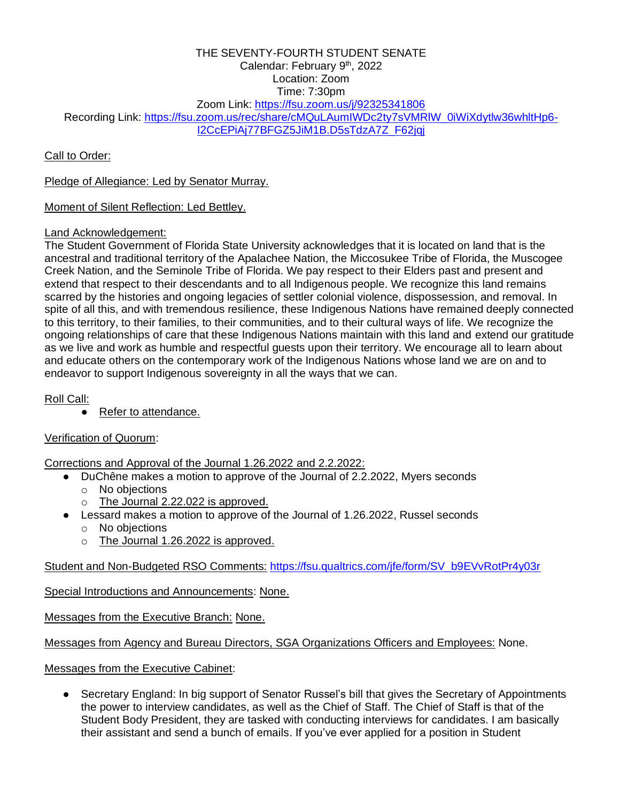#### THE SEVENTY-FOURTH STUDENT SENATE Calendar: February 9<sup>th</sup>, 2022 Location: Zoom Time: 7:30pm Zoom Link:<https://fsu.zoom.us/j/92325341806> Recording Link: https://fsu.zoom.us/rec/share/cMQuLAumIWDc2ty7sVMRIW\_0iWiXdytlw36whltHp6-[I2CcEPiAj77BFGZ5JiM1B.D5sTdzA7Z\\_F62jqj](https://urldefense.com/v3/__https:/fsu.zoom.us/rec/share/cMQuLAumIWDc2ty7sVMRlW_0iWiXdytlw36whltHp6-I2CcEPiAj77BFGZ5JiM1B.D5sTdzA7Z_F62jqj__;!!Epnw_ITfSMW4!-lZpSoxLVFU_QHLYzZDZz2U9qJNoTNBvcFP21-jlWDVcsm97W7uNSjuiaRyqa5VqKBM$)

Call to Order:

Pledge of Allegiance: Led by Senator Murray.

Moment of Silent Reflection: Led Bettley.

# Land Acknowledgement:

The Student Government of Florida State University acknowledges that it is located on land that is the ancestral and traditional territory of the Apalachee Nation, the Miccosukee Tribe of Florida, the Muscogee Creek Nation, and the Seminole Tribe of Florida. We pay respect to their Elders past and present and extend that respect to their descendants and to all Indigenous people. We recognize this land remains scarred by the histories and ongoing legacies of settler colonial violence, dispossession, and removal. In spite of all this, and with tremendous resilience, these Indigenous Nations have remained deeply connected to this territory, to their families, to their communities, and to their cultural ways of life. We recognize the ongoing relationships of care that these Indigenous Nations maintain with this land and extend our gratitude as we live and work as humble and respectful guests upon their territory. We encourage all to learn about and educate others on the contemporary work of the Indigenous Nations whose land we are on and to endeavor to support Indigenous sovereignty in all the ways that we can.

Roll Call:

● Refer to attendance.

# Verification of Quorum:

Corrections and Approval of the Journal 1.26.2022 and 2.2.2022:

- DuChêne makes a motion to approve of the Journal of 2.2.2022, Myers seconds
	- o No objections
	- o The Journal 2.22.022 is approved.
- Lessard makes a motion to approve of the Journal of 1.26.2022, Russel seconds o No objections
	- o The Journal 1.26.2022 is approved.

Student and Non-Budgeted RSO Comments: [https://fsu.qualtrics.com/jfe/form/SV\\_b9EVvRotPr4y03r](https://fsu.qualtrics.com/jfe/form/SV_b9EVvRotPr4y03r)

Special Introductions and Announcements: None.

Messages from the Executive Branch: None.

Messages from Agency and Bureau Directors, SGA Organizations Officers and Employees: None.

Messages from the Executive Cabinet:

● Secretary England: In big support of Senator Russel's bill that gives the Secretary of Appointments the power to interview candidates, as well as the Chief of Staff. The Chief of Staff is that of the Student Body President, they are tasked with conducting interviews for candidates. I am basically their assistant and send a bunch of emails. If you've ever applied for a position in Student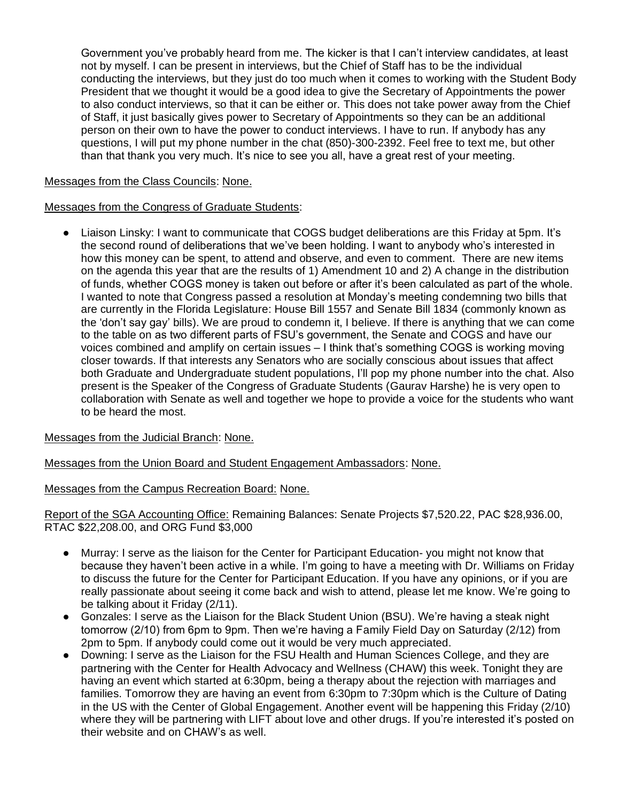Government you've probably heard from me. The kicker is that I can't interview candidates, at least not by myself. I can be present in interviews, but the Chief of Staff has to be the individual conducting the interviews, but they just do too much when it comes to working with the Student Body President that we thought it would be a good idea to give the Secretary of Appointments the power to also conduct interviews, so that it can be either or. This does not take power away from the Chief of Staff, it just basically gives power to Secretary of Appointments so they can be an additional person on their own to have the power to conduct interviews. I have to run. If anybody has any questions, I will put my phone number in the chat (850)-300-2392. Feel free to text me, but other than that thank you very much. It's nice to see you all, have a great rest of your meeting.

### Messages from the Class Councils: None.

### Messages from the Congress of Graduate Students:

Liaison Linsky: I want to communicate that COGS budget deliberations are this Friday at 5pm. It's the second round of deliberations that we've been holding. I want to anybody who's interested in how this money can be spent, to attend and observe, and even to comment. There are new items on the agenda this year that are the results of 1) Amendment 10 and 2) A change in the distribution of funds, whether COGS money is taken out before or after it's been calculated as part of the whole. I wanted to note that Congress passed a resolution at Monday's meeting condemning two bills that are currently in the Florida Legislature: House Bill 1557 and Senate Bill 1834 (commonly known as the 'don't say gay' bills). We are proud to condemn it, I believe. If there is anything that we can come to the table on as two different parts of FSU's government, the Senate and COGS and have our voices combined and amplify on certain issues – I think that's something COGS is working moving closer towards. If that interests any Senators who are socially conscious about issues that affect both Graduate and Undergraduate student populations, I'll pop my phone number into the chat. Also present is the Speaker of the Congress of Graduate Students (Gaurav Harshe) he is very open to collaboration with Senate as well and together we hope to provide a voice for the students who want to be heard the most.

# Messages from the Judicial Branch: None.

Messages from the Union Board and Student Engagement Ambassadors: None.

#### Messages from the Campus Recreation Board: None.

Report of the SGA Accounting Office: Remaining Balances: Senate Projects \$7,520.22, PAC \$28,936.00, RTAC \$22,208.00, and ORG Fund \$3,000

- Murray: I serve as the liaison for the Center for Participant Education- you might not know that because they haven't been active in a while. I'm going to have a meeting with Dr. Williams on Friday to discuss the future for the Center for Participant Education. If you have any opinions, or if you are really passionate about seeing it come back and wish to attend, please let me know. We're going to be talking about it Friday (2/11).
- Gonzales: I serve as the Liaison for the Black Student Union (BSU). We're having a steak night tomorrow (2/10) from 6pm to 9pm. Then we're having a Family Field Day on Saturday (2/12) from 2pm to 5pm. If anybody could come out it would be very much appreciated.
- Downing: I serve as the Liaison for the FSU Health and Human Sciences College, and they are partnering with the Center for Health Advocacy and Wellness (CHAW) this week. Tonight they are having an event which started at 6:30pm, being a therapy about the rejection with marriages and families. Tomorrow they are having an event from 6:30pm to 7:30pm which is the Culture of Dating in the US with the Center of Global Engagement. Another event will be happening this Friday (2/10) where they will be partnering with LIFT about love and other drugs. If you're interested it's posted on their website and on CHAW's as well.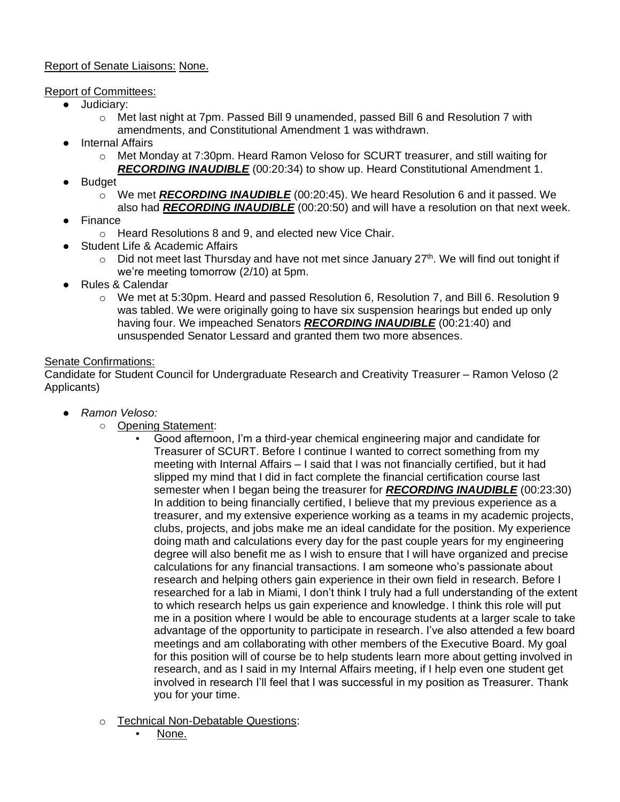# Report of Senate Liaisons: None.

# Report of Committees:

- Judiciary:
	- o Met last night at 7pm. Passed Bill 9 unamended, passed Bill 6 and Resolution 7 with amendments, and Constitutional Amendment 1 was withdrawn.
- Internal Affairs
	- o Met Monday at 7:30pm. Heard Ramon Veloso for SCURT treasurer, and still waiting for *RECORDING INAUDIBLE* (00:20:34) to show up. Heard Constitutional Amendment 1.
- **Budget** 
	- o We met *RECORDING INAUDIBLE* (00:20:45). We heard Resolution 6 and it passed. We also had *RECORDING INAUDIBLE* (00:20:50) and will have a resolution on that next week.
- **Finance** 
	- o Heard Resolutions 8 and 9, and elected new Vice Chair.
	- **Student Life & Academic Affairs** 
		- $\circ$  Did not meet last Thursday and have not met since January 27<sup>th</sup>. We will find out tonight if we're meeting tomorrow (2/10) at 5pm.
- Rules & Calendar
	- $\circ$  We met at 5:30pm. Heard and passed Resolution 6, Resolution 7, and Bill 6. Resolution 9 was tabled. We were originally going to have six suspension hearings but ended up only having four. We impeached Senators *RECORDING INAUDIBLE* (00:21:40) and unsuspended Senator Lessard and granted them two more absences.

### Senate Confirmations:

Candidate for Student Council for Undergraduate Research and Creativity Treasurer – Ramon Veloso (2 Applicants)

- *Ramon Veloso:*
	- Opening Statement:
		- Good afternoon, I'm a third-year chemical engineering major and candidate for Treasurer of SCURT. Before I continue I wanted to correct something from my meeting with Internal Affairs – I said that I was not financially certified, but it had slipped my mind that I did in fact complete the financial certification course last semester when I began being the treasurer for *RECORDING INAUDIBLE* (00:23:30) In addition to being financially certified, I believe that my previous experience as a treasurer, and my extensive experience working as a teams in my academic projects, clubs, projects, and jobs make me an ideal candidate for the position. My experience doing math and calculations every day for the past couple years for my engineering degree will also benefit me as I wish to ensure that I will have organized and precise calculations for any financial transactions. I am someone who's passionate about research and helping others gain experience in their own field in research. Before I researched for a lab in Miami, I don't think I truly had a full understanding of the extent to which research helps us gain experience and knowledge. I think this role will put me in a position where I would be able to encourage students at a larger scale to take advantage of the opportunity to participate in research. I've also attended a few board meetings and am collaborating with other members of the Executive Board. My goal for this position will of course be to help students learn more about getting involved in research, and as I said in my Internal Affairs meeting, if I help even one student get involved in research I'll feel that I was successful in my position as Treasurer. Thank you for your time.
	- o Technical Non-Debatable Questions:
		- None.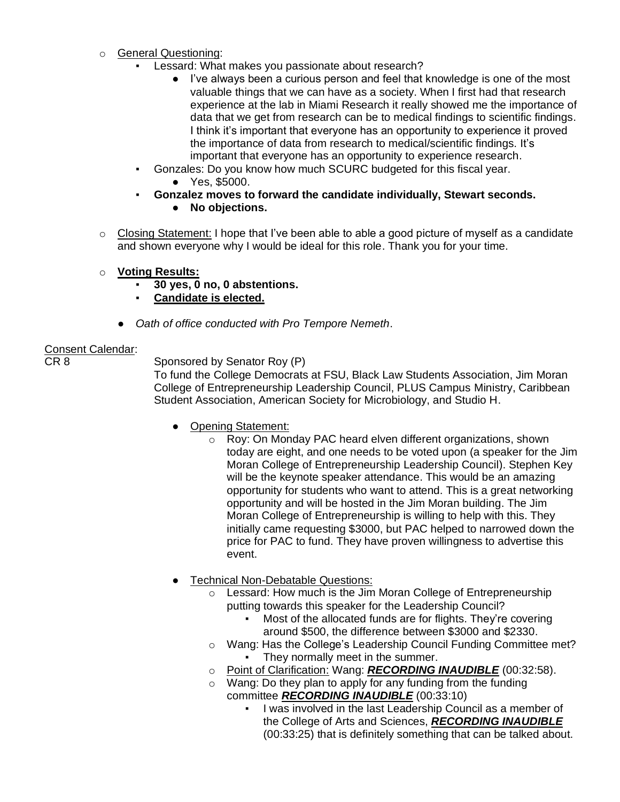- o General Questioning:
	- Lessard: What makes you passionate about research?
		- I've always been a curious person and feel that knowledge is one of the most valuable things that we can have as a society. When I first had that research experience at the lab in Miami Research it really showed me the importance of data that we get from research can be to medical findings to scientific findings. I think it's important that everyone has an opportunity to experience it proved the importance of data from research to medical/scientific findings. It's important that everyone has an opportunity to experience research.
	- Gonzales: Do you know how much SCURC budgeted for this fiscal year.
		- Yes, \$5000.
	- **Gonzalez moves to forward the candidate individually, Stewart seconds.**
		- **No objections.**
- o Closing Statement: I hope that I've been able to able a good picture of myself as a candidate and shown everyone why I would be ideal for this role. Thank you for your time.
- o **Voting Results:** 
	- **30 yes, 0 no, 0 abstentions.**
	- **Candidate is elected.**
	- **Oath of office conducted with Pro Tempore Nemeth.**

# Consent Calendar:

CR 8 Sponsored by Senator Roy (P)

To fund the College Democrats at FSU, Black Law Students Association, Jim Moran College of Entrepreneurship Leadership Council, PLUS Campus Ministry, Caribbean Student Association, American Society for Microbiology, and Studio H.

- Opening Statement:
	- o Roy: On Monday PAC heard elven different organizations, shown today are eight, and one needs to be voted upon (a speaker for the Jim Moran College of Entrepreneurship Leadership Council). Stephen Key will be the keynote speaker attendance. This would be an amazing opportunity for students who want to attend. This is a great networking opportunity and will be hosted in the Jim Moran building. The Jim Moran College of Entrepreneurship is willing to help with this. They initially came requesting \$3000, but PAC helped to narrowed down the price for PAC to fund. They have proven willingness to advertise this event.
- Technical Non-Debatable Questions:
	- o Lessard: How much is the Jim Moran College of Entrepreneurship putting towards this speaker for the Leadership Council?
		- Most of the allocated funds are for flights. They're covering around \$500, the difference between \$3000 and \$2330.
	- o Wang: Has the College's Leadership Council Funding Committee met? They normally meet in the summer.
	- o Point of Clarification: Wang: *RECORDING INAUDIBLE* (00:32:58).
	- $\circ$  Wang: Do they plan to apply for any funding from the funding committee *RECORDING INAUDIBLE* (00:33:10)
		- I was involved in the last Leadership Council as a member of the College of Arts and Sciences, *RECORDING INAUDIBLE*  (00:33:25) that is definitely something that can be talked about.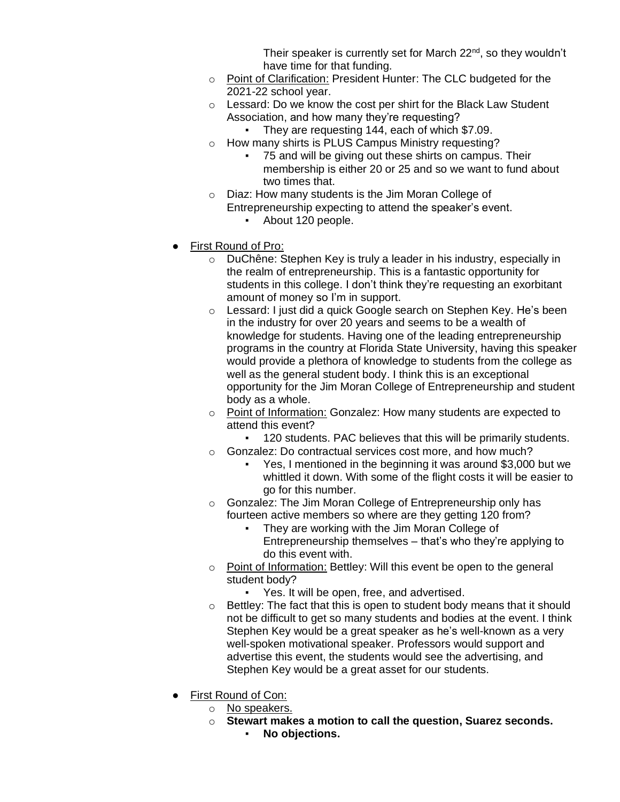Their speaker is currently set for March  $22<sup>nd</sup>$ , so they wouldn't have time for that funding.

- o Point of Clarification: President Hunter: The CLC budgeted for the 2021-22 school year.
- o Lessard: Do we know the cost per shirt for the Black Law Student Association, and how many they're requesting?
	- They are requesting 144, each of which \$7.09.
- o How many shirts is PLUS Campus Ministry requesting?
	- 75 and will be giving out these shirts on campus. Their membership is either 20 or 25 and so we want to fund about two times that.
- o Diaz: How many students is the Jim Moran College of Entrepreneurship expecting to attend the speaker's event.
	- About 120 people.
- First Round of Pro:
	- o DuChêne: Stephen Key is truly a leader in his industry, especially in the realm of entrepreneurship. This is a fantastic opportunity for students in this college. I don't think they're requesting an exorbitant amount of money so I'm in support.
	- o Lessard: I just did a quick Google search on Stephen Key. He's been in the industry for over 20 years and seems to be a wealth of knowledge for students. Having one of the leading entrepreneurship programs in the country at Florida State University, having this speaker would provide a plethora of knowledge to students from the college as well as the general student body. I think this is an exceptional opportunity for the Jim Moran College of Entrepreneurship and student body as a whole.
	- o Point of Information: Gonzalez: How many students are expected to attend this event?
		- 120 students. PAC believes that this will be primarily students.
	- o Gonzalez: Do contractual services cost more, and how much?
		- Yes, I mentioned in the beginning it was around \$3,000 but we whittled it down. With some of the flight costs it will be easier to go for this number.
	- o Gonzalez: The Jim Moran College of Entrepreneurship only has fourteen active members so where are they getting 120 from?
		- They are working with the Jim Moran College of Entrepreneurship themselves – that's who they're applying to do this event with.
	- o Point of Information: Bettley: Will this event be open to the general student body?
		- Yes. It will be open, free, and advertised.
	- o Bettley: The fact that this is open to student body means that it should not be difficult to get so many students and bodies at the event. I think Stephen Key would be a great speaker as he's well-known as a very well-spoken motivational speaker. Professors would support and advertise this event, the students would see the advertising, and Stephen Key would be a great asset for our students.
- First Round of Con:
	- o No speakers.
	- o **Stewart makes a motion to call the question, Suarez seconds.** ▪ **No objections.**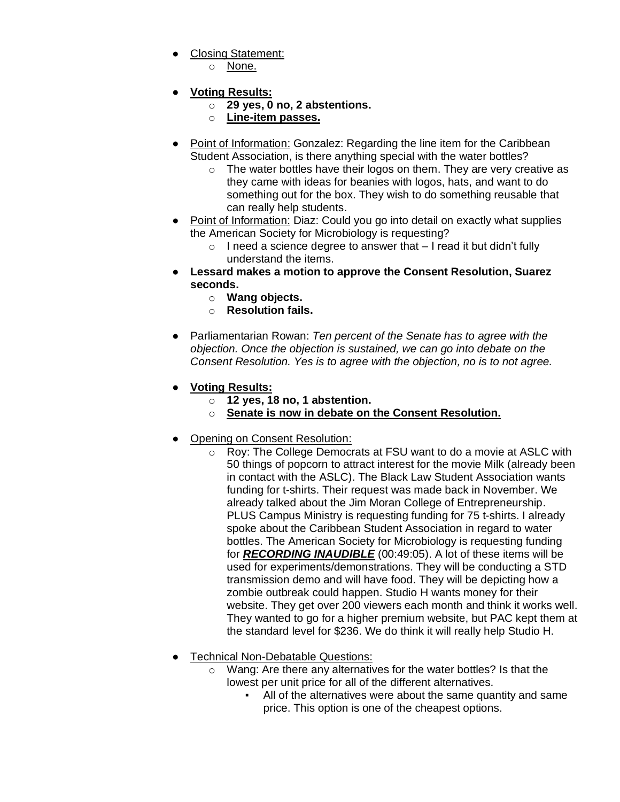- Closing Statement:
	- o None.
- **Voting Results:**
	- o **29 yes, 0 no, 2 abstentions.**
	- o **Line-item passes.**
- Point of Information: Gonzalez: Regarding the line item for the Caribbean Student Association, is there anything special with the water bottles?
	- $\circ$  The water bottles have their logos on them. They are very creative as they came with ideas for beanies with logos, hats, and want to do something out for the box. They wish to do something reusable that can really help students.
- Point of Information: Diaz: Could you go into detail on exactly what supplies the American Society for Microbiology is requesting?
	- $\circ$  I need a science degree to answer that  $-1$  read it but didn't fully understand the items.
- **Lessard makes a motion to approve the Consent Resolution, Suarez seconds.**
	- o **Wang objects.**
	- o **Resolution fails.**
- Parliamentarian Rowan: *Ten percent of the Senate has to agree with the objection. Once the objection is sustained, we can go into debate on the Consent Resolution. Yes is to agree with the objection, no is to not agree.*
- **Voting Results:**
	- o **12 yes, 18 no, 1 abstention.**
	- o **Senate is now in debate on the Consent Resolution.**
- Opening on Consent Resolution:
	- o Roy: The College Democrats at FSU want to do a movie at ASLC with 50 things of popcorn to attract interest for the movie Milk (already been in contact with the ASLC). The Black Law Student Association wants funding for t-shirts. Their request was made back in November. We already talked about the Jim Moran College of Entrepreneurship. PLUS Campus Ministry is requesting funding for 75 t-shirts. I already spoke about the Caribbean Student Association in regard to water bottles. The American Society for Microbiology is requesting funding for *RECORDING INAUDIBLE* (00:49:05). A lot of these items will be used for experiments/demonstrations. They will be conducting a STD transmission demo and will have food. They will be depicting how a zombie outbreak could happen. Studio H wants money for their website. They get over 200 viewers each month and think it works well. They wanted to go for a higher premium website, but PAC kept them at the standard level for \$236. We do think it will really help Studio H.
- Technical Non-Debatable Questions:
	- o Wang: Are there any alternatives for the water bottles? Is that the lowest per unit price for all of the different alternatives.
		- All of the alternatives were about the same quantity and same price. This option is one of the cheapest options.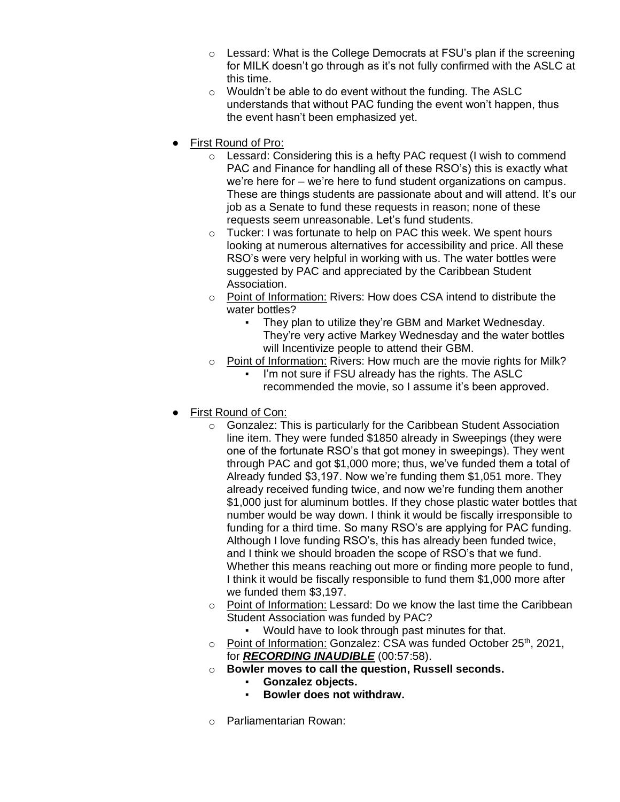- $\circ$  Lessard: What is the College Democrats at FSU's plan if the screening for MILK doesn't go through as it's not fully confirmed with the ASLC at this time.
- $\circ$  Wouldn't be able to do event without the funding. The ASLC understands that without PAC funding the event won't happen, thus the event hasn't been emphasized yet.
- **First Round of Pro:** 
	- o Lessard: Considering this is a hefty PAC request (I wish to commend PAC and Finance for handling all of these RSO's) this is exactly what we're here for – we're here to fund student organizations on campus. These are things students are passionate about and will attend. It's our job as a Senate to fund these requests in reason; none of these requests seem unreasonable. Let's fund students.
	- o Tucker: I was fortunate to help on PAC this week. We spent hours looking at numerous alternatives for accessibility and price. All these RSO's were very helpful in working with us. The water bottles were suggested by PAC and appreciated by the Caribbean Student Association.
	- o Point of Information: Rivers: How does CSA intend to distribute the water bottles?
		- They plan to utilize they're GBM and Market Wednesday. They're very active Markey Wednesday and the water bottles will Incentivize people to attend their GBM.
	- $\circ$  Point of Information: Rivers: How much are the movie rights for Milk?
		- I'm not sure if FSU already has the rights. The ASLC recommended the movie, so I assume it's been approved.
- **First Round of Con:** 
	- o Gonzalez: This is particularly for the Caribbean Student Association line item. They were funded \$1850 already in Sweepings (they were one of the fortunate RSO's that got money in sweepings). They went through PAC and got \$1,000 more; thus, we've funded them a total of Already funded \$3,197. Now we're funding them \$1,051 more. They already received funding twice, and now we're funding them another \$1,000 just for aluminum bottles. If they chose plastic water bottles that number would be way down. I think it would be fiscally irresponsible to funding for a third time. So many RSO's are applying for PAC funding. Although I love funding RSO's, this has already been funded twice, and I think we should broaden the scope of RSO's that we fund. Whether this means reaching out more or finding more people to fund, I think it would be fiscally responsible to fund them \$1,000 more after we funded them \$3,197.
	- $\circ$  Point of Information: Lessard: Do we know the last time the Caribbean Student Association was funded by PAC?
		- Would have to look through past minutes for that.
	- o Point of Information: Gonzalez: CSA was funded October 25<sup>th</sup>, 2021, for *RECORDING INAUDIBLE* (00:57:58).
	- o **Bowler moves to call the question, Russell seconds.**
		- Gonzalez objects.
		- **Bowler does not withdraw.**
	- o Parliamentarian Rowan: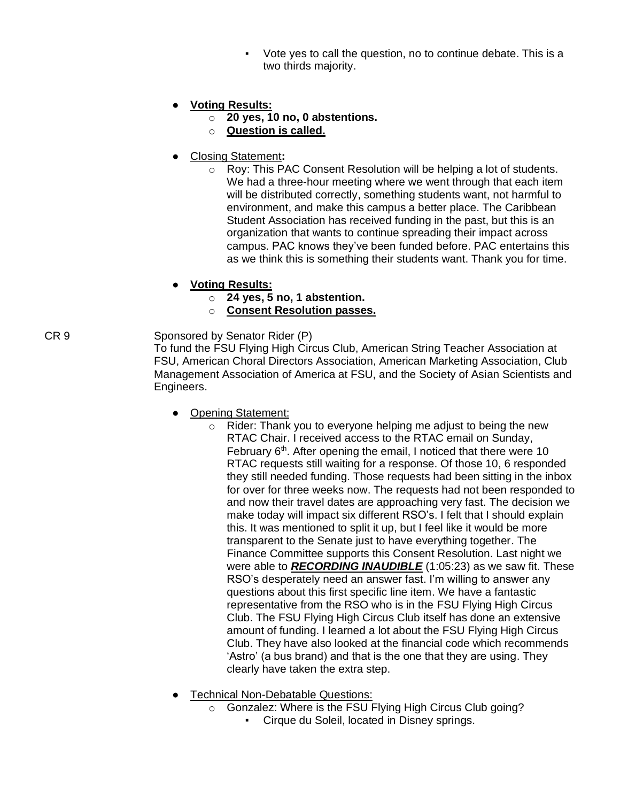Vote yes to call the question, no to continue debate. This is a two thirds majority.

# ● **Voting Results:**

- o **20 yes, 10 no, 0 abstentions.**
- o **Question is called.**
- Closing Statement**:** 
	- o Roy: This PAC Consent Resolution will be helping a lot of students. We had a three-hour meeting where we went through that each item will be distributed correctly, something students want, not harmful to environment, and make this campus a better place. The Caribbean Student Association has received funding in the past, but this is an organization that wants to continue spreading their impact across campus. PAC knows they've been funded before. PAC entertains this as we think this is something their students want. Thank you for time.
- **Voting Results:**
	- o **24 yes, 5 no, 1 abstention.**
	- o **Consent Resolution passes.**

CR 9 Sponsored by Senator Rider (P) To fund the FSU Flying High Circus Club, American String Teacher Association at FSU, American Choral Directors Association, American Marketing Association, Club Management Association of America at FSU, and the Society of Asian Scientists and Engineers.

- Opening Statement:
	- $\circ$  Rider: Thank you to everyone helping me adjust to being the new RTAC Chair. I received access to the RTAC email on Sunday, February 6<sup>th</sup>. After opening the email, I noticed that there were 10 RTAC requests still waiting for a response. Of those 10, 6 responded they still needed funding. Those requests had been sitting in the inbox for over for three weeks now. The requests had not been responded to and now their travel dates are approaching very fast. The decision we make today will impact six different RSO's. I felt that I should explain this. It was mentioned to split it up, but I feel like it would be more transparent to the Senate just to have everything together. The Finance Committee supports this Consent Resolution. Last night we were able to *RECORDING INAUDIBLE* (1:05:23) as we saw fit. These RSO's desperately need an answer fast. I'm willing to answer any questions about this first specific line item. We have a fantastic representative from the RSO who is in the FSU Flying High Circus Club. The FSU Flying High Circus Club itself has done an extensive amount of funding. I learned a lot about the FSU Flying High Circus Club. They have also looked at the financial code which recommends 'Astro' (a bus brand) and that is the one that they are using. They clearly have taken the extra step.
- **Technical Non-Debatable Questions:** 
	- o Gonzalez: Where is the FSU Flying High Circus Club going?
		- Cirque du Soleil, located in Disney springs.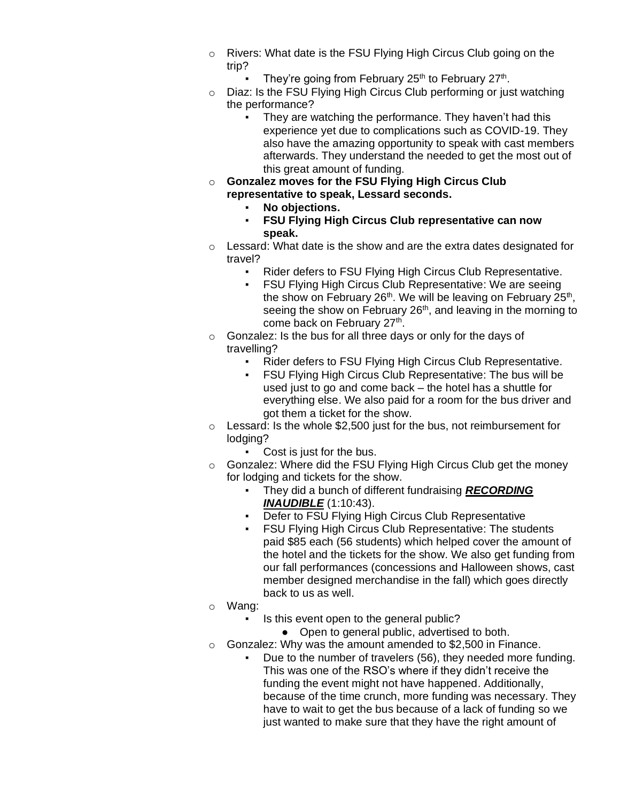- o Rivers: What date is the FSU Flying High Circus Club going on the trip?
	- They're going from February 25<sup>th</sup> to February 27<sup>th</sup>.
- o Diaz: Is the FSU Flying High Circus Club performing or just watching the performance?
	- They are watching the performance. They haven't had this experience yet due to complications such as COVID-19. They also have the amazing opportunity to speak with cast members afterwards. They understand the needed to get the most out of this great amount of funding.
- o **Gonzalez moves for the FSU Flying High Circus Club representative to speak, Lessard seconds.**
	- No objections.
	- **FSU Flying High Circus Club representative can now speak.**
- o Lessard: What date is the show and are the extra dates designated for travel?
	- **Rider defers to FSU Flying High Circus Club Representative.**<br>• FSU Flying High Circus Club Representative: We are seeing
	- FSU Flying High Circus Club Representative: We are seeing the show on February 26<sup>th</sup>. We will be leaving on February 25<sup>th</sup>, seeing the show on February 26<sup>th</sup>, and leaving in the morning to come back on February 27<sup>th</sup>.
- $\circ$  Gonzalez: Is the bus for all three days or only for the days of travelling?
	- Rider defers to FSU Flying High Circus Club Representative.
	- **FSU Flying High Circus Club Representative: The bus will be** used just to go and come back – the hotel has a shuttle for everything else. We also paid for a room for the bus driver and got them a ticket for the show.
- $\circ$  Lessard: Is the whole \$2,500 just for the bus, not reimbursement for lodging?
	- Cost is just for the bus.
- o Gonzalez: Where did the FSU Flying High Circus Club get the money for lodging and tickets for the show.
	- They did a bunch of different fundraising *RECORDING INAUDIBLE* (1:10:43).
	- Defer to FSU Flying High Circus Club Representative
	- FSU Flying High Circus Club Representative: The students paid \$85 each (56 students) which helped cover the amount of the hotel and the tickets for the show. We also get funding from our fall performances (concessions and Halloween shows, cast member designed merchandise in the fall) which goes directly back to us as well.
- o Wang:
	- Is this event open to the general public?
		- Open to general public, advertised to both.
- o Gonzalez: Why was the amount amended to \$2,500 in Finance.
	- Due to the number of travelers (56), they needed more funding. This was one of the RSO's where if they didn't receive the funding the event might not have happened. Additionally, because of the time crunch, more funding was necessary. They have to wait to get the bus because of a lack of funding so we just wanted to make sure that they have the right amount of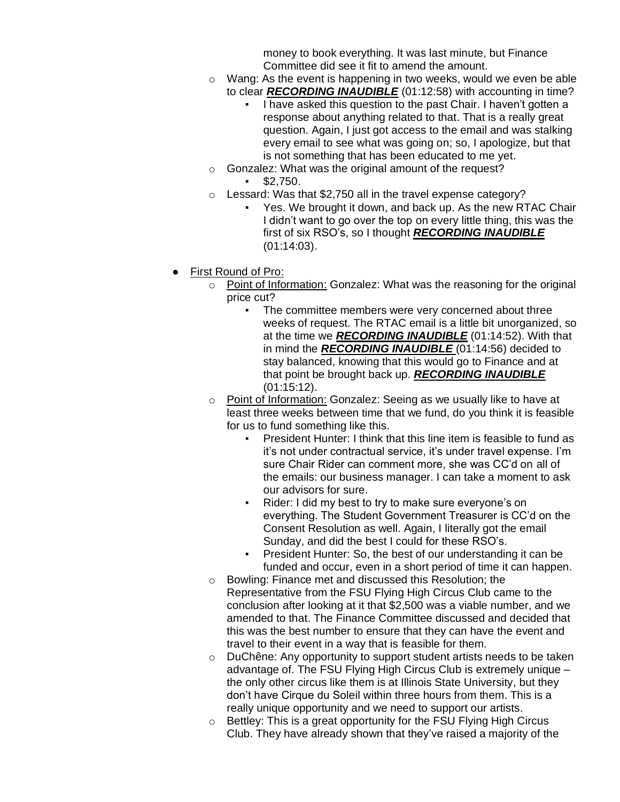money to book everything. It was last minute, but Finance Committee did see it fit to amend the amount.

- o Wang: As the event is happening in two weeks, would we even be able to clear *RECORDING INAUDIBLE* (01:12:58) with accounting in time?
	- I have asked this question to the past Chair. I haven't gotten a response about anything related to that. That is a really great question. Again, I just got access to the email and was stalking every email to see what was going on; so, I apologize, but that is not something that has been educated to me yet.
- o Gonzalez: What was the original amount of the request? \$2,750.
- $\circ$  Lessard: Was that \$2,750 all in the travel expense category?
	- Yes. We brought it down, and back up. As the new RTAC Chair I didn't want to go over the top on every little thing, this was the first of six RSO's, so I thought *RECORDING INAUDIBLE* (01:14:03).
- **First Round of Pro:** 
	- o Point of Information: Gonzalez: What was the reasoning for the original price cut?
		- The committee members were very concerned about three weeks of request. The RTAC email is a little bit unorganized, so at the time we *RECORDING INAUDIBLE* (01:14:52). With that in mind the *RECORDING INAUDIBLE* (01:14:56) decided to stay balanced, knowing that this would go to Finance and at that point be brought back up. *RECORDING INAUDIBLE*  (01:15:12).
	- o Point of Information: Gonzalez: Seeing as we usually like to have at least three weeks between time that we fund, do you think it is feasible for us to fund something like this.
		- President Hunter: I think that this line item is feasible to fund as it's not under contractual service, it's under travel expense. I'm sure Chair Rider can comment more, she was CC'd on all of the emails: our business manager. I can take a moment to ask our advisors for sure.
		- Rider: I did my best to try to make sure everyone's on everything. The Student Government Treasurer is CC'd on the Consent Resolution as well. Again, I literally got the email Sunday, and did the best I could for these RSO's.
		- President Hunter: So, the best of our understanding it can be funded and occur, even in a short period of time it can happen.
	- o Bowling: Finance met and discussed this Resolution; the Representative from the FSU Flying High Circus Club came to the conclusion after looking at it that \$2,500 was a viable number, and we amended to that. The Finance Committee discussed and decided that this was the best number to ensure that they can have the event and travel to their event in a way that is feasible for them.
	- o DuChêne: Any opportunity to support student artists needs to be taken advantage of. The FSU Flying High Circus Club is extremely unique – the only other circus like them is at Illinois State University, but they don't have Cirque du Soleil within three hours from them. This is a really unique opportunity and we need to support our artists.
	- o Bettley: This is a great opportunity for the FSU Flying High Circus Club. They have already shown that they've raised a majority of the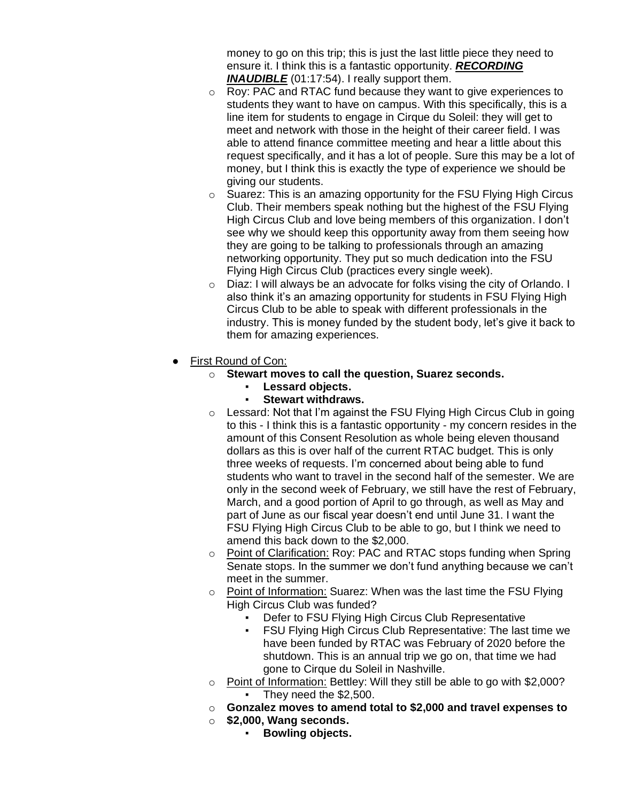money to go on this trip; this is just the last little piece they need to ensure it. I think this is a fantastic opportunity. *RECORDING INAUDIBLE* (01:17:54). I really support them.

- o Roy: PAC and RTAC fund because they want to give experiences to students they want to have on campus. With this specifically, this is a line item for students to engage in Cirque du Soleil: they will get to meet and network with those in the height of their career field. I was able to attend finance committee meeting and hear a little about this request specifically, and it has a lot of people. Sure this may be a lot of money, but I think this is exactly the type of experience we should be giving our students.
- o Suarez: This is an amazing opportunity for the FSU Flying High Circus Club. Their members speak nothing but the highest of the FSU Flying High Circus Club and love being members of this organization. I don't see why we should keep this opportunity away from them seeing how they are going to be talking to professionals through an amazing networking opportunity. They put so much dedication into the FSU Flying High Circus Club (practices every single week).
- o Diaz: I will always be an advocate for folks vising the city of Orlando. I also think it's an amazing opportunity for students in FSU Flying High Circus Club to be able to speak with different professionals in the industry. This is money funded by the student body, let's give it back to them for amazing experiences.
- **First Round of Con:** 
	- o **Stewart moves to call the question, Suarez seconds.**
		- **Lessard objects.**
		- **Stewart withdraws.**
	- o Lessard: Not that I'm against the FSU Flying High Circus Club in going to this - I think this is a fantastic opportunity - my concern resides in the amount of this Consent Resolution as whole being eleven thousand dollars as this is over half of the current RTAC budget. This is only three weeks of requests. I'm concerned about being able to fund students who want to travel in the second half of the semester. We are only in the second week of February, we still have the rest of February, March, and a good portion of April to go through, as well as May and part of June as our fiscal year doesn't end until June 31. I want the FSU Flying High Circus Club to be able to go, but I think we need to amend this back down to the \$2,000.
	- o Point of Clarification: Roy: PAC and RTAC stops funding when Spring Senate stops. In the summer we don't fund anything because we can't meet in the summer.
	- o Point of Information: Suarez: When was the last time the FSU Flying High Circus Club was funded?
		- Defer to FSU Flying High Circus Club Representative
		- **FSU Flying High Circus Club Representative: The last time we** have been funded by RTAC was February of 2020 before the shutdown. This is an annual trip we go on, that time we had gone to Cirque du Soleil in Nashville.
	- o Point of Information: Bettley: Will they still be able to go with \$2,000?
		- They need the \$2,500.
	- o **Gonzalez moves to amend total to \$2,000 and travel expenses to**
	- o **\$2,000, Wang seconds.**
		- Bowling objects.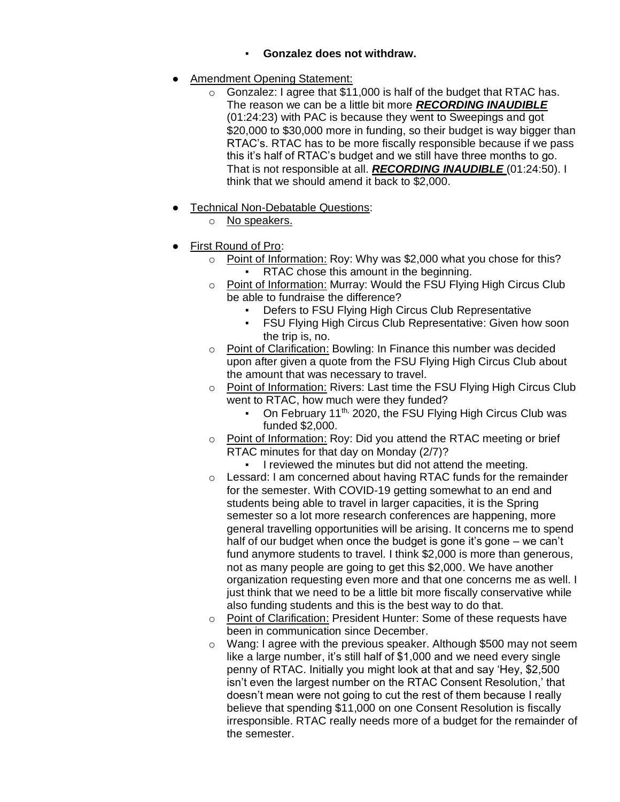- **Gonzalez does not withdraw.**
- **Amendment Opening Statement:** 
	- $\circ$  Gonzalez: I agree that \$11,000 is half of the budget that RTAC has. The reason we can be a little bit more *RECORDING INAUDIBLE* (01:24:23) with PAC is because they went to Sweepings and got \$20,000 to \$30,000 more in funding, so their budget is way bigger than RTAC's. RTAC has to be more fiscally responsible because if we pass this it's half of RTAC's budget and we still have three months to go. That is not responsible at all. *RECORDING INAUDIBLE* (01:24:50). I think that we should amend it back to \$2,000.
- **Technical Non-Debatable Questions:** 
	- o No speakers.
- First Round of Pro:
	- o Point of Information: Roy: Why was \$2,000 what you chose for this? RTAC chose this amount in the beginning.
	- o Point of Information: Murray: Would the FSU Flying High Circus Club be able to fundraise the difference?
		- Defers to FSU Flying High Circus Club Representative
		- FSU Flying High Circus Club Representative: Given how soon the trip is, no.
	- o Point of Clarification: Bowling: In Finance this number was decided upon after given a quote from the FSU Flying High Circus Club about the amount that was necessary to travel.
	- o Point of Information: Rivers: Last time the FSU Flying High Circus Club went to RTAC, how much were they funded?
		- On February 11<sup>th,</sup> 2020, the FSU Flying High Circus Club was funded \$2,000.
	- o Point of Information: Roy: Did you attend the RTAC meeting or brief RTAC minutes for that day on Monday (2/7)?
		- I reviewed the minutes but did not attend the meeting.
	- o Lessard: I am concerned about having RTAC funds for the remainder for the semester. With COVID-19 getting somewhat to an end and students being able to travel in larger capacities, it is the Spring semester so a lot more research conferences are happening, more general travelling opportunities will be arising. It concerns me to spend half of our budget when once the budget is gone it's gone – we can't fund anymore students to travel. I think \$2,000 is more than generous, not as many people are going to get this \$2,000. We have another organization requesting even more and that one concerns me as well. I just think that we need to be a little bit more fiscally conservative while also funding students and this is the best way to do that.
	- o Point of Clarification: President Hunter: Some of these requests have been in communication since December.
	- o Wang: I agree with the previous speaker. Although \$500 may not seem like a large number, it's still half of \$1,000 and we need every single penny of RTAC. Initially you might look at that and say 'Hey, \$2,500 isn't even the largest number on the RTAC Consent Resolution,' that doesn't mean were not going to cut the rest of them because I really believe that spending \$11,000 on one Consent Resolution is fiscally irresponsible. RTAC really needs more of a budget for the remainder of the semester.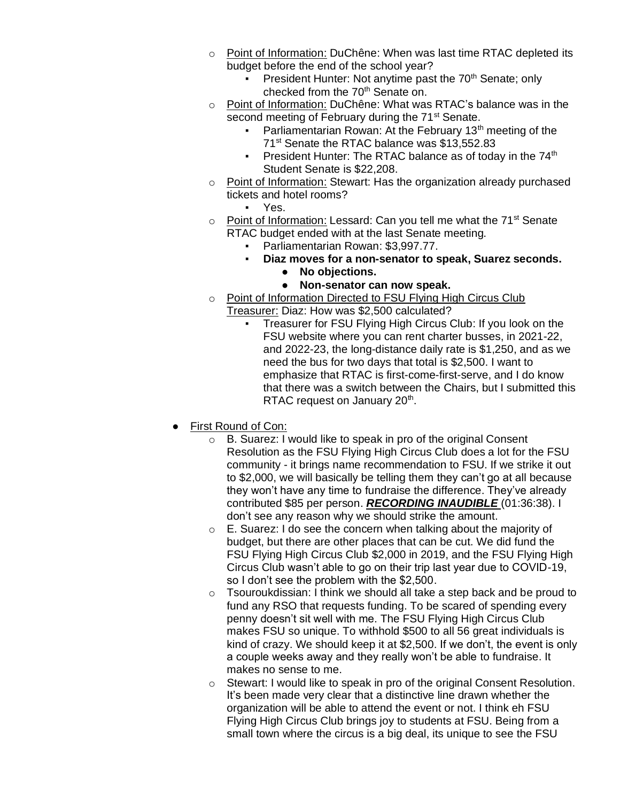- o Point of Information: DuChêne: When was last time RTAC depleted its budget before the end of the school year?
	- President Hunter: Not anytime past the 70<sup>th</sup> Senate; only checked from the 70<sup>th</sup> Senate on.
- o Point of Information: DuChêne: What was RTAC's balance was in the second meeting of February during the 71<sup>st</sup> Senate.
	- Parliamentarian Rowan: At the February 13<sup>th</sup> meeting of the 71 st Senate the RTAC balance was \$13,552.83
	- **•** President Hunter: The RTAC balance as of today in the  $74<sup>th</sup>$ Student Senate is \$22,208.
- o Point of Information: Stewart: Has the organization already purchased tickets and hotel rooms?
	- Yes.
- $\circ$  Point of Information: Lessard: Can you tell me what the 71<sup>st</sup> Senate RTAC budget ended with at the last Senate meeting.
	- Parliamentarian Rowan: \$3,997.77.
		- **Diaz moves for a non-senator to speak, Suarez seconds.**
			- **No objections.**
			- **Non-senator can now speak.**
- o Point of Information Directed to FSU Flying High Circus Club Treasurer: Diaz: How was \$2,500 calculated?
	- Treasurer for FSU Flying High Circus Club: If you look on the FSU website where you can rent charter busses, in 2021-22, and 2022-23, the long-distance daily rate is \$1,250, and as we need the bus for two days that total is \$2,500. I want to emphasize that RTAC is first-come-first-serve, and I do know that there was a switch between the Chairs, but I submitted this RTAC request on January 20<sup>th</sup>.
- First Round of Con:
	- o B. Suarez: I would like to speak in pro of the original Consent Resolution as the FSU Flying High Circus Club does a lot for the FSU community - it brings name recommendation to FSU. If we strike it out to \$2,000, we will basically be telling them they can't go at all because they won't have any time to fundraise the difference. They've already contributed \$85 per person. *RECORDING INAUDIBLE* (01:36:38). I don't see any reason why we should strike the amount.
	- $\circ$  E. Suarez: I do see the concern when talking about the majority of budget, but there are other places that can be cut. We did fund the FSU Flying High Circus Club \$2,000 in 2019, and the FSU Flying High Circus Club wasn't able to go on their trip last year due to COVID-19, so I don't see the problem with the \$2,500.
	- $\circ$  Tsouroukdissian: I think we should all take a step back and be proud to fund any RSO that requests funding. To be scared of spending every penny doesn't sit well with me. The FSU Flying High Circus Club makes FSU so unique. To withhold \$500 to all 56 great individuals is kind of crazy. We should keep it at \$2,500. If we don't, the event is only a couple weeks away and they really won't be able to fundraise. It makes no sense to me.
	- o Stewart: I would like to speak in pro of the original Consent Resolution. It's been made very clear that a distinctive line drawn whether the organization will be able to attend the event or not. I think eh FSU Flying High Circus Club brings joy to students at FSU. Being from a small town where the circus is a big deal, its unique to see the FSU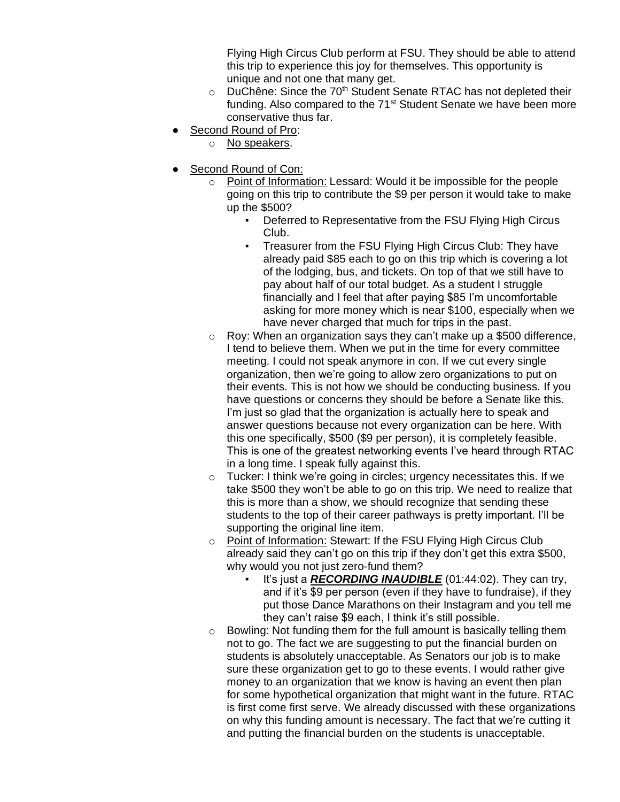Flying High Circus Club perform at FSU. They should be able to attend this trip to experience this joy for themselves. This opportunity is unique and not one that many get.

- $\circ$  DuChêne: Since the 70<sup>th</sup> Student Senate RTAC has not depleted their funding. Also compared to the 71<sup>st</sup> Student Senate we have been more conservative thus far.
- Second Round of Pro:
	- o No speakers.
- Second Round of Con:
	- o Point of Information: Lessard: Would it be impossible for the people going on this trip to contribute the \$9 per person it would take to make up the \$500?
		- **Deferred to Representative from the FSU Flying High Circus** Club.
		- Treasurer from the FSU Flying High Circus Club: They have already paid \$85 each to go on this trip which is covering a lot of the lodging, bus, and tickets. On top of that we still have to pay about half of our total budget. As a student I struggle financially and I feel that after paying \$85 I'm uncomfortable asking for more money which is near \$100, especially when we have never charged that much for trips in the past.
	- $\circ$  Roy: When an organization says they can't make up a \$500 difference, I tend to believe them. When we put in the time for every committee meeting. I could not speak anymore in con. If we cut every single organization, then we're going to allow zero organizations to put on their events. This is not how we should be conducting business. If you have questions or concerns they should be before a Senate like this. I'm just so glad that the organization is actually here to speak and answer questions because not every organization can be here. With this one specifically, \$500 (\$9 per person), it is completely feasible. This is one of the greatest networking events I've heard through RTAC in a long time. I speak fully against this.
	- $\circ$  Tucker: I think we're going in circles; urgency necessitates this. If we take \$500 they won't be able to go on this trip. We need to realize that this is more than a show, we should recognize that sending these students to the top of their career pathways is pretty important. I'll be supporting the original line item.
	- o Point of Information: Stewart: If the FSU Flying High Circus Club already said they can't go on this trip if they don't get this extra \$500, why would you not just zero-fund them?
		- It's just a **RECORDING INAUDIBLE** (01:44:02). They can try, and if it's \$9 per person (even if they have to fundraise), if they put those Dance Marathons on their Instagram and you tell me they can't raise \$9 each, I think it's still possible.
	- o Bowling: Not funding them for the full amount is basically telling them not to go. The fact we are suggesting to put the financial burden on students is absolutely unacceptable. As Senators our job is to make sure these organization get to go to these events. I would rather give money to an organization that we know is having an event then plan for some hypothetical organization that might want in the future. RTAC is first come first serve. We already discussed with these organizations on why this funding amount is necessary. The fact that we're cutting it and putting the financial burden on the students is unacceptable.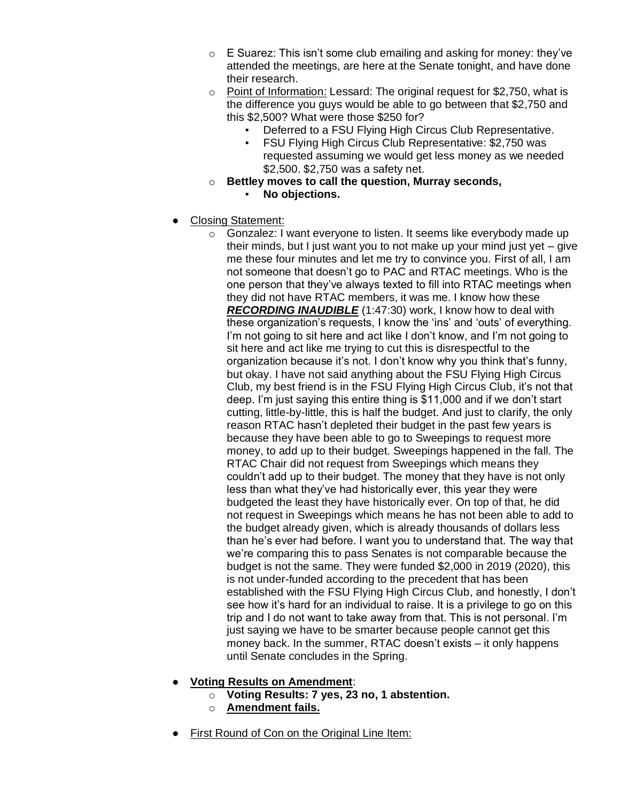- $\circ$  E Suarez: This isn't some club emailing and asking for money: they've attended the meetings, are here at the Senate tonight, and have done their research.
- o Point of Information: Lessard: The original request for \$2,750, what is the difference you guys would be able to go between that \$2,750 and this \$2,500? What were those \$250 for?
	- **Deferred to a FSU Flying High Circus Club Representative.**<br>• ESU Flying High Circus Club Representative: \$2.750 was
	- **FSU Flying High Circus Club Representative: \$2,750 was** requested assuming we would get less money as we needed \$2,500. \$2,750 was a safety net.
- o **Bettley moves to call the question, Murray seconds,** 
	- No objections.
- **Closing Statement:** 
	- o Gonzalez: I want everyone to listen. It seems like everybody made up their minds, but I just want you to not make up your mind just yet – give me these four minutes and let me try to convince you. First of all, I am not someone that doesn't go to PAC and RTAC meetings. Who is the one person that they've always texted to fill into RTAC meetings when they did not have RTAC members, it was me. I know how these *RECORDING INAUDIBLE* (1:47:30) work, I know how to deal with these organization's requests, I know the 'ins' and 'outs' of everything. I'm not going to sit here and act like I don't know, and I'm not going to sit here and act like me trying to cut this is disrespectful to the organization because it's not. I don't know why you think that's funny, but okay. I have not said anything about the FSU Flying High Circus Club, my best friend is in the FSU Flying High Circus Club, it's not that deep. I'm just saying this entire thing is \$11,000 and if we don't start cutting, little-by-little, this is half the budget. And just to clarify, the only reason RTAC hasn't depleted their budget in the past few years is because they have been able to go to Sweepings to request more money, to add up to their budget. Sweepings happened in the fall. The RTAC Chair did not request from Sweepings which means they couldn't add up to their budget. The money that they have is not only less than what they've had historically ever, this year they were budgeted the least they have historically ever. On top of that, he did not request in Sweepings which means he has not been able to add to the budget already given, which is already thousands of dollars less than he's ever had before. I want you to understand that. The way that we're comparing this to pass Senates is not comparable because the budget is not the same. They were funded \$2,000 in 2019 (2020), this is not under-funded according to the precedent that has been established with the FSU Flying High Circus Club, and honestly, I don't see how it's hard for an individual to raise. It is a privilege to go on this trip and I do not want to take away from that. This is not personal. I'm just saying we have to be smarter because people cannot get this money back. In the summer, RTAC doesn't exists – it only happens until Senate concludes in the Spring.
- **Voting Results on Amendment**:
	- o **Voting Results: 7 yes, 23 no, 1 abstention.**
	- o **Amendment fails.**
- First Round of Con on the Original Line Item: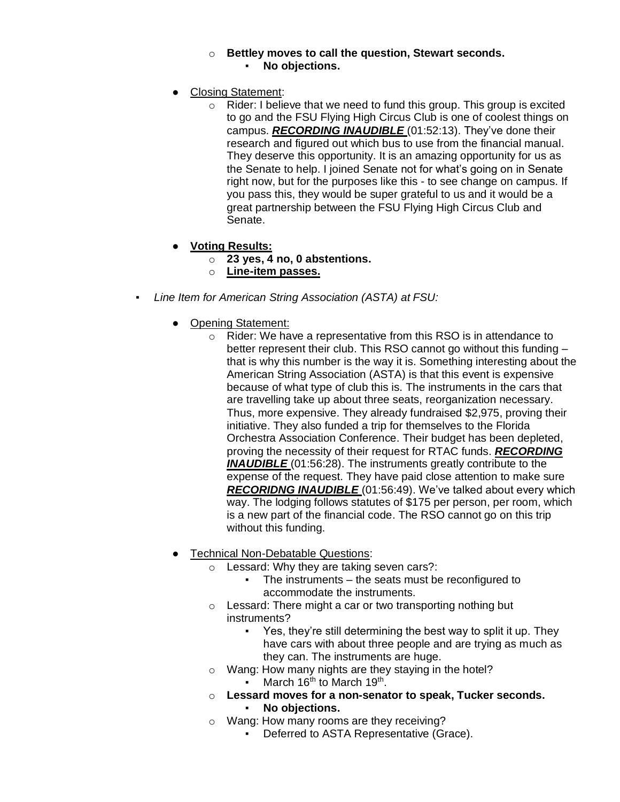### o **Bettley moves to call the question, Stewart seconds.** No objections.

- **Closing Statement:** 
	- $\circ$  Rider: I believe that we need to fund this group. This group is excited to go and the FSU Flying High Circus Club is one of coolest things on campus. *RECORDING INAUDIBLE* (01:52:13). They've done their research and figured out which bus to use from the financial manual. They deserve this opportunity. It is an amazing opportunity for us as the Senate to help. I joined Senate not for what's going on in Senate right now, but for the purposes like this - to see change on campus. If you pass this, they would be super grateful to us and it would be a great partnership between the FSU Flying High Circus Club and Senate.
- **Voting Results:**
	- o **23 yes, 4 no, 0 abstentions.**
	- o **Line-item passes.**
- *Line Item for American String Association (ASTA) at FSU:*
	- Opening Statement:
		- o Rider: We have a representative from this RSO is in attendance to better represent their club. This RSO cannot go without this funding – that is why this number is the way it is. Something interesting about the American String Association (ASTA) is that this event is expensive because of what type of club this is. The instruments in the cars that are travelling take up about three seats, reorganization necessary. Thus, more expensive. They already fundraised \$2,975, proving their initiative. They also funded a trip for themselves to the Florida Orchestra Association Conference. Their budget has been depleted, proving the necessity of their request for RTAC funds. *RECORDING INAUDIBLE* (01:56:28). The instruments greatly contribute to the expense of the request. They have paid close attention to make sure *RECORIDNG INAUDIBLE* (01:56:49). We've talked about every which way. The lodging follows statutes of \$175 per person, per room, which is a new part of the financial code. The RSO cannot go on this trip without this funding.
	- **Technical Non-Debatable Questions:** 
		- o Lessard: Why they are taking seven cars?:
			- The instruments the seats must be reconfigured to accommodate the instruments.
		- $\circ$  Lessard: There might a car or two transporting nothing but instruments?
			- Yes, they're still determining the best way to split it up. They have cars with about three people and are trying as much as they can. The instruments are huge.
		- o Wang: How many nights are they staying in the hotel? **•** March 16<sup>th</sup> to March 19<sup>th</sup>.
		- o **Lessard moves for a non-senator to speak, Tucker seconds.** No objections.
		- o Wang: How many rooms are they receiving?
			- Deferred to ASTA Representative (Grace).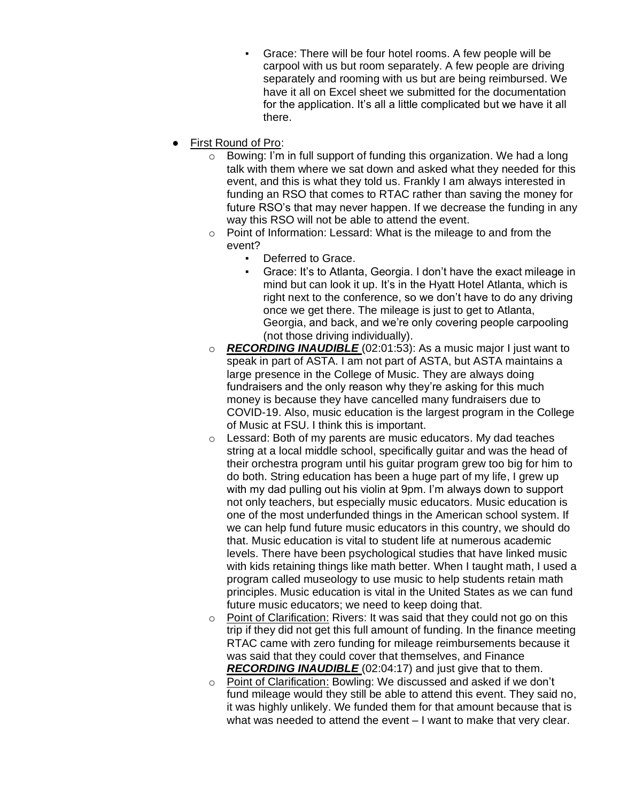- Grace: There will be four hotel rooms. A few people will be carpool with us but room separately. A few people are driving separately and rooming with us but are being reimbursed. We have it all on Excel sheet we submitted for the documentation for the application. It's all a little complicated but we have it all there.
- **First Round of Pro:** 
	- o Bowing: I'm in full support of funding this organization. We had a long talk with them where we sat down and asked what they needed for this event, and this is what they told us. Frankly I am always interested in funding an RSO that comes to RTAC rather than saving the money for future RSO's that may never happen. If we decrease the funding in any way this RSO will not be able to attend the event.
	- o Point of Information: Lessard: What is the mileage to and from the event?
		- Deferred to Grace.
		- Grace: It's to Atlanta, Georgia. I don't have the exact mileage in mind but can look it up. It's in the Hyatt Hotel Atlanta, which is right next to the conference, so we don't have to do any driving once we get there. The mileage is just to get to Atlanta, Georgia, and back, and we're only covering people carpooling (not those driving individually).
	- o *RECORDING INAUDIBLE* (02:01:53): As a music major I just want to speak in part of ASTA. I am not part of ASTA, but ASTA maintains a large presence in the College of Music. They are always doing fundraisers and the only reason why they're asking for this much money is because they have cancelled many fundraisers due to COVID-19. Also, music education is the largest program in the College of Music at FSU. I think this is important.
	- o Lessard: Both of my parents are music educators. My dad teaches string at a local middle school, specifically guitar and was the head of their orchestra program until his guitar program grew too big for him to do both. String education has been a huge part of my life, I grew up with my dad pulling out his violin at 9pm. I'm always down to support not only teachers, but especially music educators. Music education is one of the most underfunded things in the American school system. If we can help fund future music educators in this country, we should do that. Music education is vital to student life at numerous academic levels. There have been psychological studies that have linked music with kids retaining things like math better. When I taught math, I used a program called museology to use music to help students retain math principles. Music education is vital in the United States as we can fund future music educators; we need to keep doing that.
	- o Point of Clarification: Rivers: It was said that they could not go on this trip if they did not get this full amount of funding. In the finance meeting RTAC came with zero funding for mileage reimbursements because it was said that they could cover that themselves, and Finance *RECORDING INAUDIBLE* (02:04:17) and just give that to them.
	- o Point of Clarification: Bowling: We discussed and asked if we don't fund mileage would they still be able to attend this event. They said no, it was highly unlikely. We funded them for that amount because that is what was needed to attend the event – I want to make that very clear.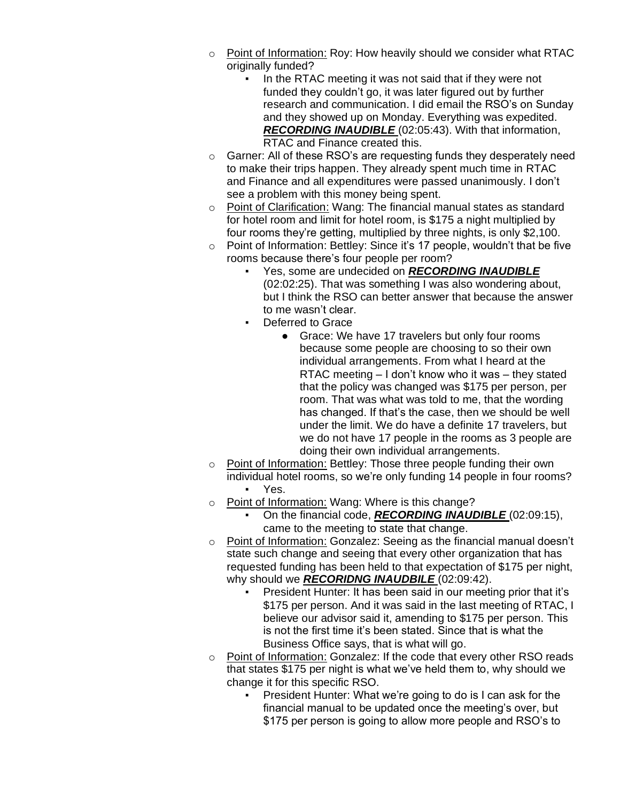- $\circ$  Point of Information: Roy: How heavily should we consider what RTAC originally funded?
	- In the RTAC meeting it was not said that if they were not funded they couldn't go, it was later figured out by further research and communication. I did email the RSO's on Sunday and they showed up on Monday. Everything was expedited. *RECORDING INAUDIBLE* (02:05:43). With that information, RTAC and Finance created this.
- o Garner: All of these RSO's are requesting funds they desperately need to make their trips happen. They already spent much time in RTAC and Finance and all expenditures were passed unanimously. I don't see a problem with this money being spent.
- o Point of Clarification: Wang: The financial manual states as standard for hotel room and limit for hotel room, is \$175 a night multiplied by four rooms they're getting, multiplied by three nights, is only \$2,100.
- o Point of Information: Bettley: Since it's 17 people, wouldn't that be five rooms because there's four people per room?
	- Yes, some are undecided on *RECORDING INAUDIBLE* (02:02:25). That was something I was also wondering about, but I think the RSO can better answer that because the answer to me wasn't clear.
	- Deferred to Grace
		- Grace: We have 17 travelers but only four rooms because some people are choosing to so their own individual arrangements. From what I heard at the RTAC meeting – I don't know who it was – they stated that the policy was changed was \$175 per person, per room. That was what was told to me, that the wording has changed. If that's the case, then we should be well under the limit. We do have a definite 17 travelers, but we do not have 17 people in the rooms as 3 people are doing their own individual arrangements.
- o Point of Information: Bettley: Those three people funding their own individual hotel rooms, so we're only funding 14 people in four rooms? Yes.
- o Point of Information: Wang: Where is this change?
	- On the financial code, *RECORDING INAUDIBLE* (02:09:15), came to the meeting to state that change.
- o Point of Information: Gonzalez: Seeing as the financial manual doesn't state such change and seeing that every other organization that has requested funding has been held to that expectation of \$175 per night, why should we *RECORIDNG INAUDBILE* (02:09:42).
	- President Hunter: It has been said in our meeting prior that it's \$175 per person. And it was said in the last meeting of RTAC, I believe our advisor said it, amending to \$175 per person. This is not the first time it's been stated. Since that is what the Business Office says, that is what will go.
- o Point of Information: Gonzalez: If the code that every other RSO reads that states \$175 per night is what we've held them to, why should we change it for this specific RSO.
	- President Hunter: What we're going to do is I can ask for the financial manual to be updated once the meeting's over, but \$175 per person is going to allow more people and RSO's to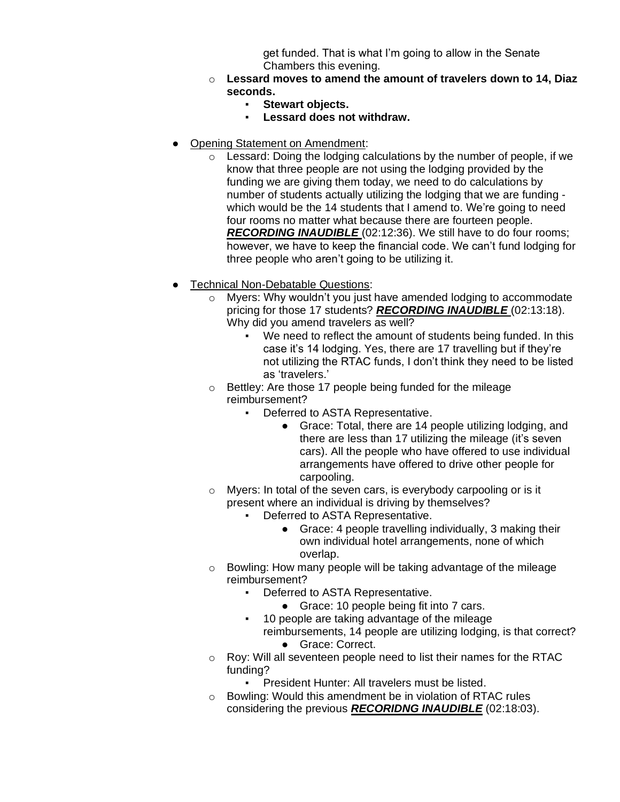get funded. That is what I'm going to allow in the Senate Chambers this evening.

- o **Lessard moves to amend the amount of travelers down to 14, Diaz seconds.**
	- **Stewart objects.**
	- **Lessard does not withdraw.**
- **Opening Statement on Amendment:** 
	- o Lessard: Doing the lodging calculations by the number of people, if we know that three people are not using the lodging provided by the funding we are giving them today, we need to do calculations by number of students actually utilizing the lodging that we are funding which would be the 14 students that I amend to. We're going to need four rooms no matter what because there are fourteen people. *RECORDING INAUDIBLE* (02:12:36). We still have to do four rooms; however, we have to keep the financial code. We can't fund lodging for three people who aren't going to be utilizing it.
- **Technical Non-Debatable Questions:** 
	- o Myers: Why wouldn't you just have amended lodging to accommodate pricing for those 17 students? *RECORDING INAUDIBLE* (02:13:18). Why did you amend travelers as well?
		- We need to reflect the amount of students being funded. In this case it's 14 lodging. Yes, there are 17 travelling but if they're not utilizing the RTAC funds, I don't think they need to be listed as 'travelers.'
	- o Bettley: Are those 17 people being funded for the mileage reimbursement?
		- Deferred to ASTA Representative.
			- Grace: Total, there are 14 people utilizing lodging, and there are less than 17 utilizing the mileage (it's seven cars). All the people who have offered to use individual arrangements have offered to drive other people for carpooling.
	- o Myers: In total of the seven cars, is everybody carpooling or is it present where an individual is driving by themselves?
		- Deferred to ASTA Representative.
			- Grace: 4 people travelling individually, 3 making their own individual hotel arrangements, none of which overlap.
	- o Bowling: How many people will be taking advantage of the mileage reimbursement?
		- Deferred to ASTA Representative.
			- Grace: 10 people being fit into 7 cars.
		- 10 people are taking advantage of the mileage reimbursements, 14 people are utilizing lodging, is that correct?
			- Grace: Correct.
	- o Roy: Will all seventeen people need to list their names for the RTAC funding?
		- President Hunter: All travelers must be listed.
	- o Bowling: Would this amendment be in violation of RTAC rules considering the previous *RECORIDNG INAUDIBLE* (02:18:03).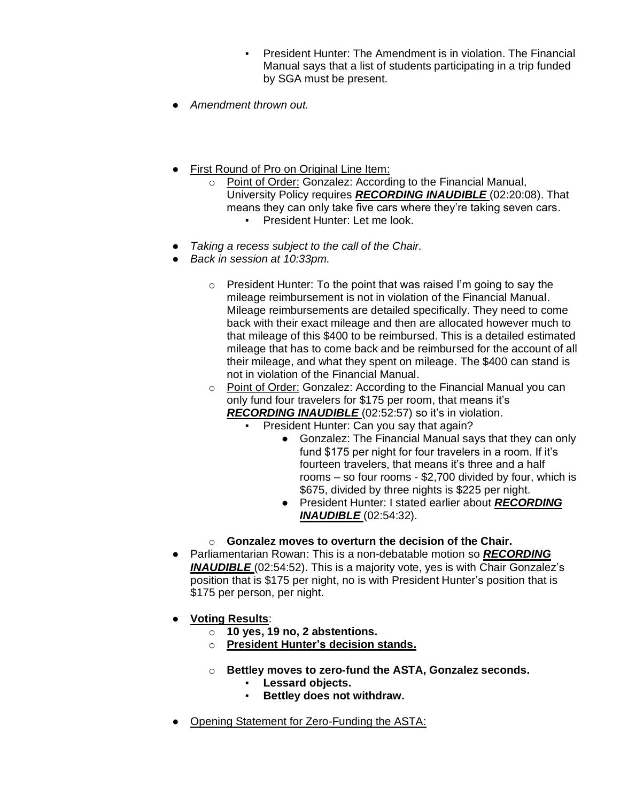- President Hunter: The Amendment is in violation. The Financial Manual says that a list of students participating in a trip funded by SGA must be present.
- *Amendment thrown out.*
- First Round of Pro on Original Line Item:
	- o Point of Order: Gonzalez: According to the Financial Manual, University Policy requires *RECORDING INAUDIBLE* (02:20:08). That means they can only take five cars where they're taking seven cars. President Hunter: Let me look.
- *Taking a recess subject to the call of the Chair.*
- *Back in session at 10:33pm.*
	- $\circ$  President Hunter: To the point that was raised I'm going to say the mileage reimbursement is not in violation of the Financial Manual. Mileage reimbursements are detailed specifically. They need to come back with their exact mileage and then are allocated however much to that mileage of this \$400 to be reimbursed. This is a detailed estimated mileage that has to come back and be reimbursed for the account of all their mileage, and what they spent on mileage. The \$400 can stand is not in violation of the Financial Manual.
	- o Point of Order: Gonzalez: According to the Financial Manual you can only fund four travelers for \$175 per room, that means it's *RECORDING INAUDIBLE* (02:52:57) so it's in violation.
		- President Hunter: Can you say that again?
			- Gonzalez: The Financial Manual says that they can only fund \$175 per night for four travelers in a room. If it's fourteen travelers, that means it's three and a half rooms – so four rooms - \$2,700 divided by four, which is \$675, divided by three nights is \$225 per night.
			- President Hunter: I stated earlier about *RECORDING INAUDIBLE* (02:54:32).
	- o **Gonzalez moves to overturn the decision of the Chair.**
- Parliamentarian Rowan: This is a non-debatable motion so *RECORDING*  **INAUDIBLE** (02:54:52). This is a majority vote, yes is with Chair Gonzalez's position that is \$175 per night, no is with President Hunter's position that is \$175 per person, per night.
- **Voting Results**:
	- o **10 yes, 19 no, 2 abstentions.**
	- o **President Hunter's decision stands.**
	- o **Bettley moves to zero-fund the ASTA, Gonzalez seconds.**
		- **Lessard objects.**
		- **Bettley does not withdraw.**
- Opening Statement for Zero-Funding the ASTA: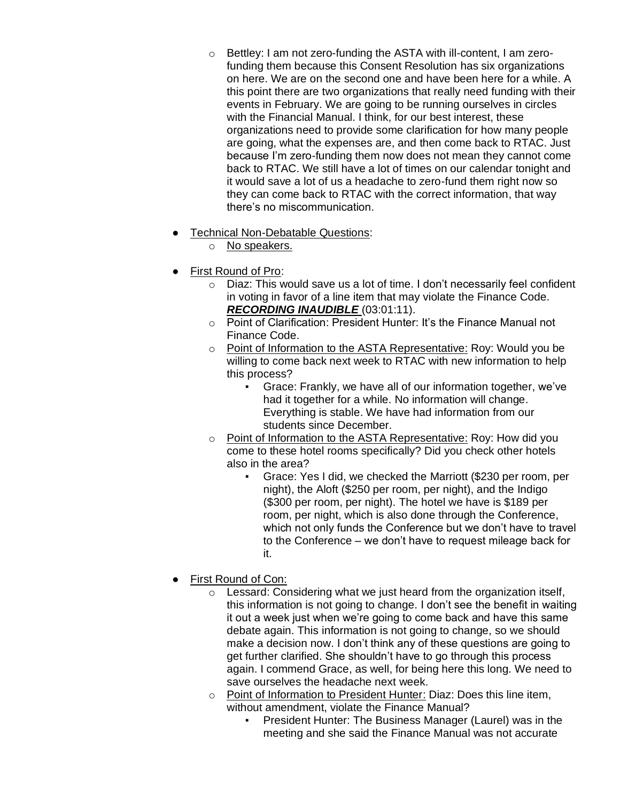- o Bettley: I am not zero-funding the ASTA with ill-content, I am zerofunding them because this Consent Resolution has six organizations on here. We are on the second one and have been here for a while. A this point there are two organizations that really need funding with their events in February. We are going to be running ourselves in circles with the Financial Manual. I think, for our best interest, these organizations need to provide some clarification for how many people are going, what the expenses are, and then come back to RTAC. Just because I'm zero-funding them now does not mean they cannot come back to RTAC. We still have a lot of times on our calendar tonight and it would save a lot of us a headache to zero-fund them right now so they can come back to RTAC with the correct information, that way there's no miscommunication.
- **Technical Non-Debatable Questions:** 
	- o No speakers.
- First Round of Pro:
	- o Diaz: This would save us a lot of time. I don't necessarily feel confident in voting in favor of a line item that may violate the Finance Code. *RECORDING INAUDIBLE* (03:01:11).
	- o Point of Clarification: President Hunter: It's the Finance Manual not Finance Code.
	- o Point of Information to the ASTA Representative: Roy: Would you be willing to come back next week to RTAC with new information to help this process?
		- Grace: Frankly, we have all of our information together, we've had it together for a while. No information will change. Everything is stable. We have had information from our students since December.
	- o Point of Information to the ASTA Representative: Roy: How did you come to these hotel rooms specifically? Did you check other hotels also in the area?
		- Grace: Yes I did, we checked the Marriott (\$230 per room, per night), the Aloft (\$250 per room, per night), and the Indigo (\$300 per room, per night). The hotel we have is \$189 per room, per night, which is also done through the Conference, which not only funds the Conference but we don't have to travel to the Conference – we don't have to request mileage back for it.
- First Round of Con:
	- $\circ$  Lessard: Considering what we just heard from the organization itself, this information is not going to change. I don't see the benefit in waiting it out a week just when we're going to come back and have this same debate again. This information is not going to change, so we should make a decision now. I don't think any of these questions are going to get further clarified. She shouldn't have to go through this process again. I commend Grace, as well, for being here this long. We need to save ourselves the headache next week.
	- o Point of Information to President Hunter: Diaz: Does this line item, without amendment, violate the Finance Manual?
		- President Hunter: The Business Manager (Laurel) was in the meeting and she said the Finance Manual was not accurate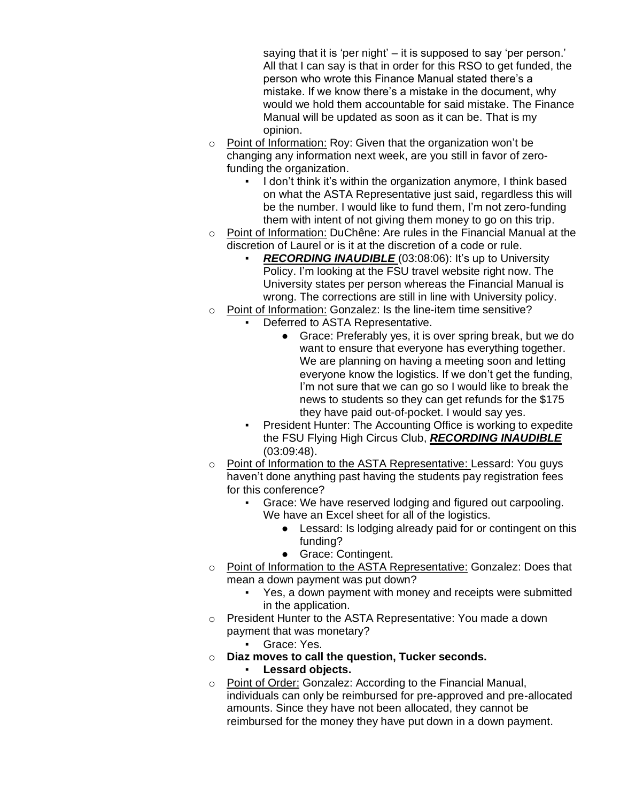saying that it is 'per night' – it is supposed to say 'per person.' All that I can say is that in order for this RSO to get funded, the person who wrote this Finance Manual stated there's a mistake. If we know there's a mistake in the document, why would we hold them accountable for said mistake. The Finance Manual will be updated as soon as it can be. That is my opinion.

- o Point of Information: Roy: Given that the organization won't be changing any information next week, are you still in favor of zerofunding the organization.
	- I don't think it's within the organization anymore, I think based on what the ASTA Representative just said, regardless this will be the number. I would like to fund them, I'm not zero-funding them with intent of not giving them money to go on this trip.
- $\circ$  Point of Information: DuChêne: Are rules in the Financial Manual at the discretion of Laurel or is it at the discretion of a code or rule.
	- **RECORDING INAUDIBLE** (03:08:06): It's up to University Policy. I'm looking at the FSU travel website right now. The University states per person whereas the Financial Manual is wrong. The corrections are still in line with University policy.
- o Point of Information: Gonzalez: Is the line-item time sensitive?
	- Deferred to ASTA Representative.
		- Grace: Preferably yes, it is over spring break, but we do want to ensure that everyone has everything together. We are planning on having a meeting soon and letting everyone know the logistics. If we don't get the funding, I'm not sure that we can go so I would like to break the news to students so they can get refunds for the \$175 they have paid out-of-pocket. I would say yes.
	- President Hunter: The Accounting Office is working to expedite the FSU Flying High Circus Club, *RECORDING INAUDIBLE*  (03:09:48).
- o Point of Information to the ASTA Representative: Lessard: You guys haven't done anything past having the students pay registration fees for this conference?
	- Grace: We have reserved lodging and figured out carpooling. We have an Excel sheet for all of the logistics.
		- Lessard: Is lodging already paid for or contingent on this funding?
		- Grace: Contingent.
- o Point of Information to the ASTA Representative: Gonzalez: Does that mean a down payment was put down?
	- Yes, a down payment with money and receipts were submitted in the application.
- o President Hunter to the ASTA Representative: You made a down payment that was monetary?
	- Grace: Yes.
- o **Diaz moves to call the question, Tucker seconds.** Lessard objects.
- o Point of Order: Gonzalez: According to the Financial Manual, individuals can only be reimbursed for pre-approved and pre-allocated amounts. Since they have not been allocated, they cannot be reimbursed for the money they have put down in a down payment.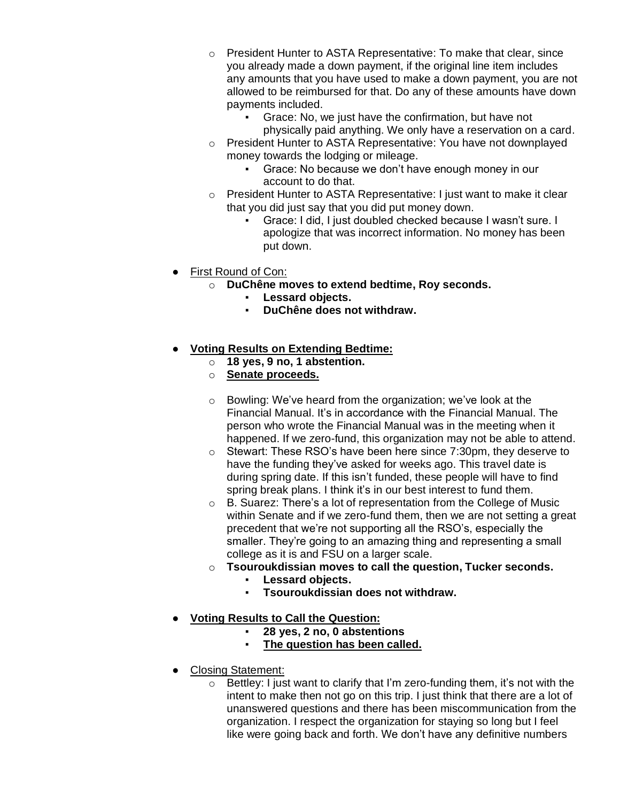- $\circ$  President Hunter to ASTA Representative: To make that clear, since you already made a down payment, if the original line item includes any amounts that you have used to make a down payment, you are not allowed to be reimbursed for that. Do any of these amounts have down payments included.
	- Grace: No, we just have the confirmation, but have not physically paid anything. We only have a reservation on a card.
- o President Hunter to ASTA Representative: You have not downplayed money towards the lodging or mileage.
	- Grace: No because we don't have enough money in our account to do that.
- o President Hunter to ASTA Representative: I just want to make it clear that you did just say that you did put money down.
	- Grace: I did, I just doubled checked because I wasn't sure. I apologize that was incorrect information. No money has been put down.
- **First Round of Con:** 
	- o **DuChêne moves to extend bedtime, Roy seconds.**
		- **Lessard objects.**
		- **DuChêne does not withdraw.**
- **Voting Results on Extending Bedtime:** 
	- o **18 yes, 9 no, 1 abstention.**
	- o **Senate proceeds.**
	- o Bowling: We've heard from the organization; we've look at the Financial Manual. It's in accordance with the Financial Manual. The person who wrote the Financial Manual was in the meeting when it happened. If we zero-fund, this organization may not be able to attend.
	- o Stewart: These RSO's have been here since 7:30pm, they deserve to have the funding they've asked for weeks ago. This travel date is during spring date. If this isn't funded, these people will have to find spring break plans. I think it's in our best interest to fund them.
	- o B. Suarez: There's a lot of representation from the College of Music within Senate and if we zero-fund them, then we are not setting a great precedent that we're not supporting all the RSO's, especially the smaller. They're going to an amazing thing and representing a small college as it is and FSU on a larger scale.
	- o **Tsouroukdissian moves to call the question, Tucker seconds.**
		- **Lessard objects.**
		- **Tsouroukdissian does not withdraw.**
- **Voting Results to Call the Question:**
	- **28 yes, 2 no, 0 abstentions**
	- **The question has been called.**
- Closing Statement:
	- o Bettley: I just want to clarify that I'm zero-funding them, it's not with the intent to make then not go on this trip. I just think that there are a lot of unanswered questions and there has been miscommunication from the organization. I respect the organization for staying so long but I feel like were going back and forth. We don't have any definitive numbers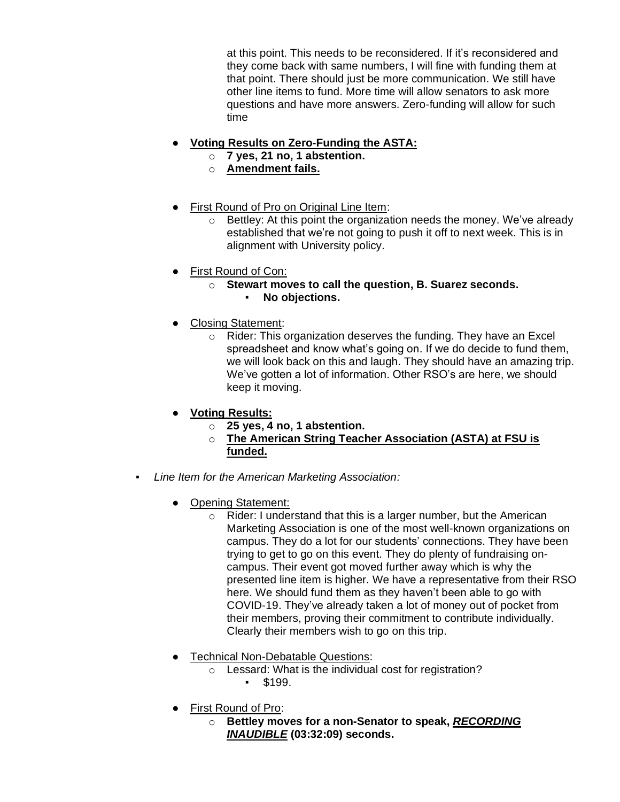at this point. This needs to be reconsidered. If it's reconsidered and they come back with same numbers, I will fine with funding them at that point. There should just be more communication. We still have other line items to fund. More time will allow senators to ask more questions and have more answers. Zero-funding will allow for such time

# **Voting Results on Zero-Funding the ASTA:**

- o **7 yes, 21 no, 1 abstention.**
- o **Amendment fails.**
- **First Round of Pro on Original Line Item:** 
	- o Bettley: At this point the organization needs the money. We've already established that we're not going to push it off to next week. This is in alignment with University policy.
- **First Round of Con:** 
	- o **Stewart moves to call the question, B. Suarez seconds.** ▪ **No objections.**
- Closing Statement:
	- o Rider: This organization deserves the funding. They have an Excel spreadsheet and know what's going on. If we do decide to fund them, we will look back on this and laugh. They should have an amazing trip. We've gotten a lot of information. Other RSO's are here, we should keep it moving.
- **Voting Results:**
	- o **25 yes, 4 no, 1 abstention.**
	- o **The American String Teacher Association (ASTA) at FSU is funded.**
- *Line Item for the American Marketing Association:*
	- Opening Statement:
		- $\circ$  Rider: I understand that this is a larger number, but the American Marketing Association is one of the most well-known organizations on campus. They do a lot for our students' connections. They have been trying to get to go on this event. They do plenty of fundraising oncampus. Their event got moved further away which is why the presented line item is higher. We have a representative from their RSO here. We should fund them as they haven't been able to go with COVID-19. They've already taken a lot of money out of pocket from their members, proving their commitment to contribute individually. Clearly their members wish to go on this trip.
	- Technical Non-Debatable Questions:
		- o Lessard: What is the individual cost for registration?  $\cdot$  \$199.
	- First Round of Pro:
		- o **Bettley moves for a non-Senator to speak,** *RECORDING INAUDIBLE* **(03:32:09) seconds.**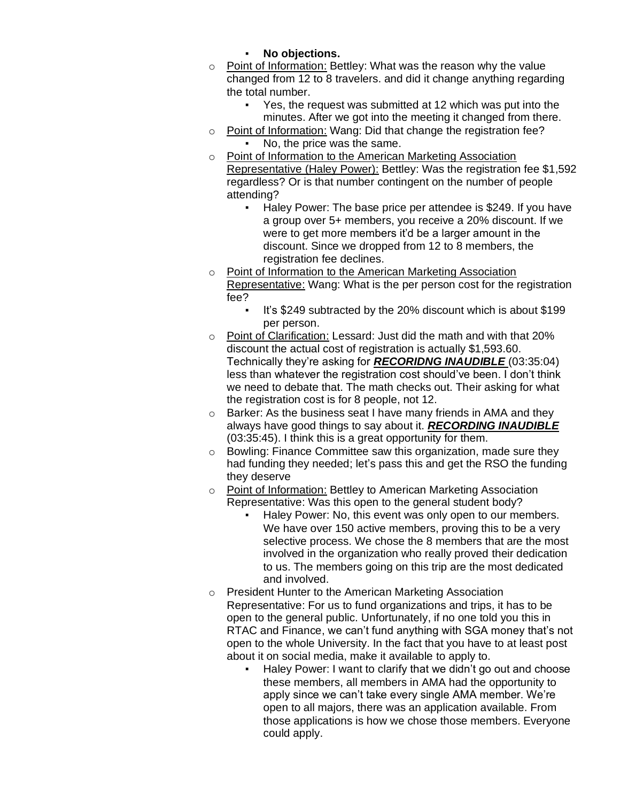- **No objections.**
- o Point of Information: Bettley: What was the reason why the value changed from 12 to 8 travelers. and did it change anything regarding the total number.
	- Yes, the request was submitted at 12 which was put into the minutes. After we got into the meeting it changed from there.
- o Point of Information: Wang: Did that change the registration fee? No, the price was the same.
- o Point of Information to the American Marketing Association Representative (Haley Power): Bettley: Was the registration fee \$1,592 regardless? Or is that number contingent on the number of people attending?
	- Haley Power: The base price per attendee is \$249. If you have a group over 5+ members, you receive a 20% discount. If we were to get more members it'd be a larger amount in the discount. Since we dropped from 12 to 8 members, the registration fee declines.
- o Point of Information to the American Marketing Association Representative: Wang: What is the per person cost for the registration fee?
	- It's \$249 subtracted by the 20% discount which is about \$199 per person.
- o Point of Clarification: Lessard: Just did the math and with that 20% discount the actual cost of registration is actually \$1,593.60. Technically they're asking for *RECORIDNG INAUDIBLE* (03:35:04) less than whatever the registration cost should've been. I don't think we need to debate that. The math checks out. Their asking for what the registration cost is for 8 people, not 12.
- o Barker: As the business seat I have many friends in AMA and they always have good things to say about it. *RECORDING INAUDIBLE*  (03:35:45). I think this is a great opportunity for them.
- o Bowling: Finance Committee saw this organization, made sure they had funding they needed; let's pass this and get the RSO the funding they deserve
- o Point of Information: Bettley to American Marketing Association Representative: Was this open to the general student body?
	- Haley Power: No, this event was only open to our members. We have over 150 active members, proving this to be a very selective process. We chose the 8 members that are the most involved in the organization who really proved their dedication to us. The members going on this trip are the most dedicated and involved.
- o President Hunter to the American Marketing Association Representative: For us to fund organizations and trips, it has to be open to the general public. Unfortunately, if no one told you this in RTAC and Finance, we can't fund anything with SGA money that's not open to the whole University. In the fact that you have to at least post about it on social media, make it available to apply to.
	- Haley Power: I want to clarify that we didn't go out and choose these members, all members in AMA had the opportunity to apply since we can't take every single AMA member. We're open to all majors, there was an application available. From those applications is how we chose those members. Everyone could apply.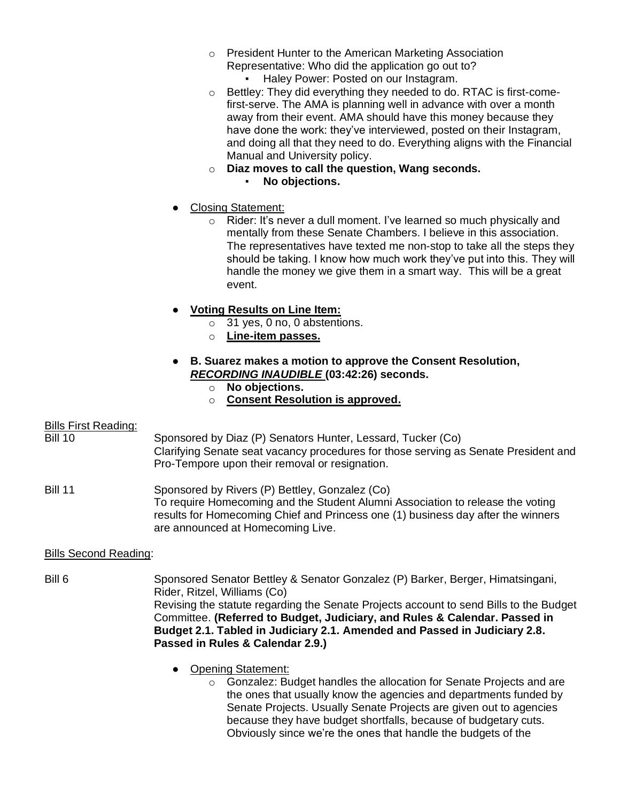- o President Hunter to the American Marketing Association Representative: Who did the application go out to?
	- Haley Power: Posted on our Instagram.
- o Bettley: They did everything they needed to do. RTAC is first-comefirst-serve. The AMA is planning well in advance with over a month away from their event. AMA should have this money because they have done the work: they've interviewed, posted on their Instagram, and doing all that they need to do. Everything aligns with the Financial Manual and University policy.
- o **Diaz moves to call the question, Wang seconds.** No objections.
	-
- **Closing Statement:** 
	- o Rider: It's never a dull moment. I've learned so much physically and mentally from these Senate Chambers. I believe in this association. The representatives have texted me non-stop to take all the steps they should be taking. I know how much work they've put into this. They will handle the money we give them in a smart way. This will be a great event.
- **Voting Results on Line Item:**
	- o 31 yes, 0 no, 0 abstentions.
	- o **Line-item passes.**
- **B. Suarez makes a motion to approve the Consent Resolution,**  *RECORDING INAUDIBLE* **(03:42:26) seconds.**
	- o **No objections.**
	- o **Consent Resolution is approved.**

# Bills First Reading:

Bill 10 Sponsored by Diaz (P) Senators Hunter, Lessard, Tucker (Co) Clarifying Senate seat vacancy procedures for those serving as Senate President and Pro-Tempore upon their removal or resignation.

Bill 11 Sponsored by Rivers (P) Bettley, Gonzalez (Co) To require Homecoming and the Student Alumni Association to release the voting results for Homecoming Chief and Princess one (1) business day after the winners are announced at Homecoming Live.

# Bills Second Reading:

- Bill 6 Sponsored Senator Bettley & Senator Gonzalez (P) Barker, Berger, Himatsingani, Rider, Ritzel, Williams (Co) Revising the statute regarding the Senate Projects account to send Bills to the Budget Committee. **(Referred to Budget, Judiciary, and Rules & Calendar. Passed in Budget 2.1. Tabled in Judiciary 2.1. Amended and Passed in Judiciary 2.8. Passed in Rules & Calendar 2.9.)**
	- Opening Statement:
		- o Gonzalez: Budget handles the allocation for Senate Projects and are the ones that usually know the agencies and departments funded by Senate Projects. Usually Senate Projects are given out to agencies because they have budget shortfalls, because of budgetary cuts. Obviously since we're the ones that handle the budgets of the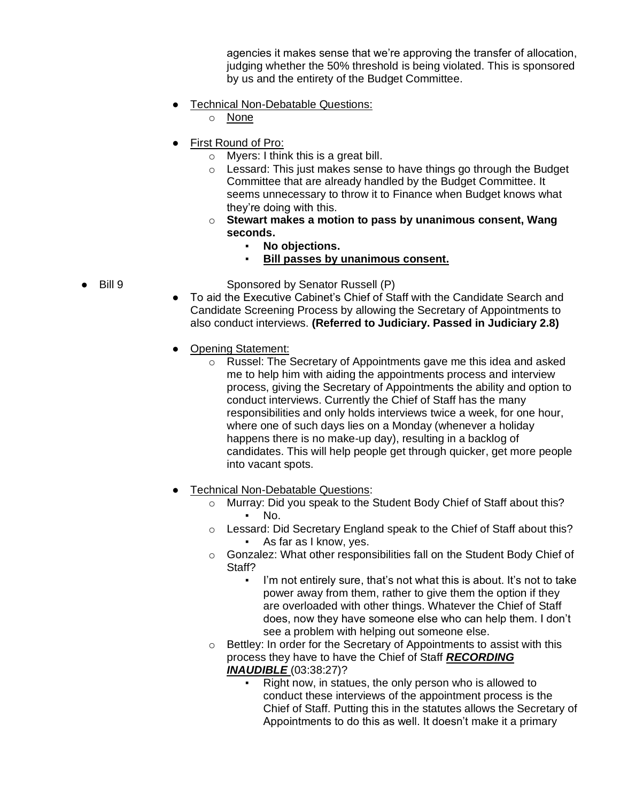agencies it makes sense that we're approving the transfer of allocation, judging whether the 50% threshold is being violated. This is sponsored by us and the entirety of the Budget Committee.

- Technical Non-Debatable Questions:
	- o None
- **First Round of Pro:** 
	- o Myers: I think this is a great bill.
	- $\circ$  Lessard: This just makes sense to have things go through the Budget Committee that are already handled by the Budget Committee. It seems unnecessary to throw it to Finance when Budget knows what they're doing with this.
	- o **Stewart makes a motion to pass by unanimous consent, Wang seconds.**
		- **No objections.**
		- **Bill passes by unanimous consent.**
- Bill 9 Sponsored by Senator Russell (P)
	- To aid the Executive Cabinet's Chief of Staff with the Candidate Search and Candidate Screening Process by allowing the Secretary of Appointments to also conduct interviews. **(Referred to Judiciary. Passed in Judiciary 2.8)**
	- Opening Statement:
		- o Russel: The Secretary of Appointments gave me this idea and asked me to help him with aiding the appointments process and interview process, giving the Secretary of Appointments the ability and option to conduct interviews. Currently the Chief of Staff has the many responsibilities and only holds interviews twice a week, for one hour, where one of such days lies on a Monday (whenever a holiday happens there is no make-up day), resulting in a backlog of candidates. This will help people get through quicker, get more people into vacant spots.
	- Technical Non-Debatable Questions:
		- o Murray: Did you speak to the Student Body Chief of Staff about this?  $\blacksquare$  No.
		- o Lessard: Did Secretary England speak to the Chief of Staff about this? As far as I know, yes.
		- o Gonzalez: What other responsibilities fall on the Student Body Chief of Staff?
			- I'm not entirely sure, that's not what this is about. It's not to take power away from them, rather to give them the option if they are overloaded with other things. Whatever the Chief of Staff does, now they have someone else who can help them. I don't see a problem with helping out someone else.
		- $\circ$  Bettley: In order for the Secretary of Appointments to assist with this process they have to have the Chief of Staff *RECORDING INAUDIBLE* (03:38:27)?
			- Right now, in statues, the only person who is allowed to conduct these interviews of the appointment process is the Chief of Staff. Putting this in the statutes allows the Secretary of Appointments to do this as well. It doesn't make it a primary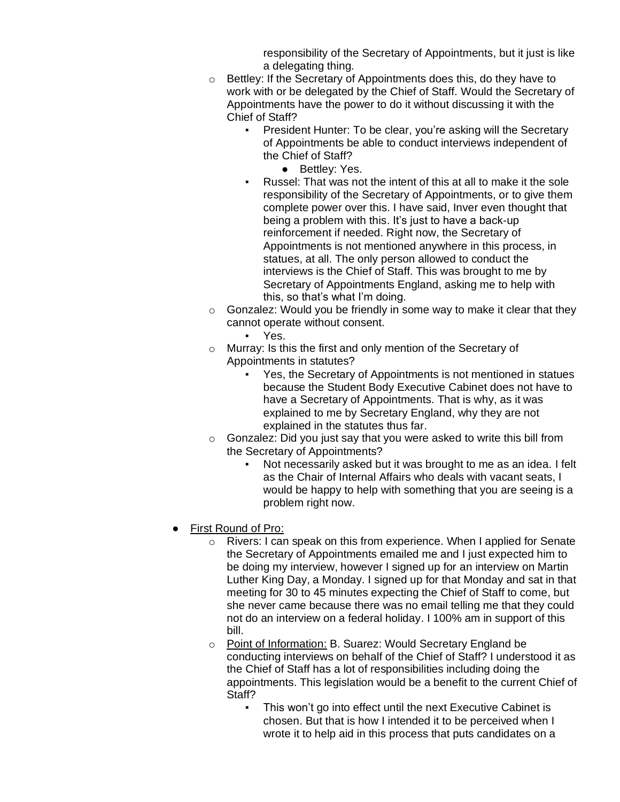responsibility of the Secretary of Appointments, but it just is like a delegating thing.

- o Bettley: If the Secretary of Appointments does this, do they have to work with or be delegated by the Chief of Staff. Would the Secretary of Appointments have the power to do it without discussing it with the Chief of Staff?
	- President Hunter: To be clear, you're asking will the Secretary of Appointments be able to conduct interviews independent of the Chief of Staff?
		- Bettley: Yes.
	- Russel: That was not the intent of this at all to make it the sole responsibility of the Secretary of Appointments, or to give them complete power over this. I have said, Inver even thought that being a problem with this. It's just to have a back-up reinforcement if needed. Right now, the Secretary of Appointments is not mentioned anywhere in this process, in statues, at all. The only person allowed to conduct the interviews is the Chief of Staff. This was brought to me by Secretary of Appointments England, asking me to help with this, so that's what I'm doing.
- $\circ$  Gonzalez: Would you be friendly in some way to make it clear that they cannot operate without consent.
	- Yes.
- o Murray: Is this the first and only mention of the Secretary of Appointments in statutes?
	- Yes, the Secretary of Appointments is not mentioned in statues because the Student Body Executive Cabinet does not have to have a Secretary of Appointments. That is why, as it was explained to me by Secretary England, why they are not explained in the statutes thus far.
- $\circ$  Gonzalez: Did you just say that you were asked to write this bill from the Secretary of Appointments?
	- Not necessarily asked but it was brought to me as an idea. I felt as the Chair of Internal Affairs who deals with vacant seats, I would be happy to help with something that you are seeing is a problem right now.
- **First Round of Pro:** 
	- o Rivers: I can speak on this from experience. When I applied for Senate the Secretary of Appointments emailed me and I just expected him to be doing my interview, however I signed up for an interview on Martin Luther King Day, a Monday. I signed up for that Monday and sat in that meeting for 30 to 45 minutes expecting the Chief of Staff to come, but she never came because there was no email telling me that they could not do an interview on a federal holiday. I 100% am in support of this bill.
	- o Point of Information: B. Suarez: Would Secretary England be conducting interviews on behalf of the Chief of Staff? I understood it as the Chief of Staff has a lot of responsibilities including doing the appointments. This legislation would be a benefit to the current Chief of Staff?
		- This won't go into effect until the next Executive Cabinet is chosen. But that is how I intended it to be perceived when I wrote it to help aid in this process that puts candidates on a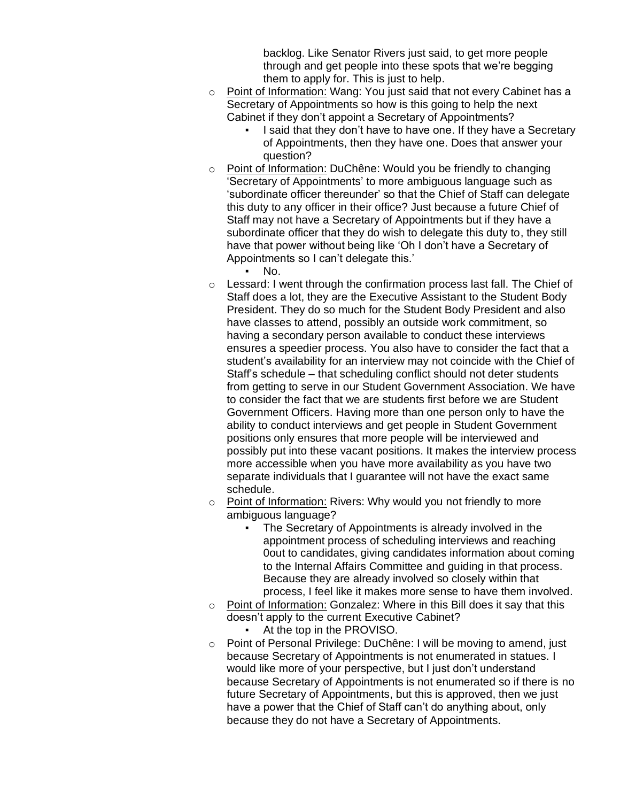backlog. Like Senator Rivers just said, to get more people through and get people into these spots that we're begging them to apply for. This is just to help.

- o Point of Information: Wang: You just said that not every Cabinet has a Secretary of Appointments so how is this going to help the next Cabinet if they don't appoint a Secretary of Appointments?
	- I said that they don't have to have one. If they have a Secretary of Appointments, then they have one. Does that answer your question?
- o Point of Information: DuChêne: Would you be friendly to changing 'Secretary of Appointments' to more ambiguous language such as 'subordinate officer thereunder' so that the Chief of Staff can delegate this duty to any officer in their office? Just because a future Chief of Staff may not have a Secretary of Appointments but if they have a subordinate officer that they do wish to delegate this duty to, they still have that power without being like 'Oh I don't have a Secretary of Appointments so I can't delegate this.'
	- $\blacksquare$  No.
- o Lessard: I went through the confirmation process last fall. The Chief of Staff does a lot, they are the Executive Assistant to the Student Body President. They do so much for the Student Body President and also have classes to attend, possibly an outside work commitment, so having a secondary person available to conduct these interviews ensures a speedier process. You also have to consider the fact that a student's availability for an interview may not coincide with the Chief of Staff's schedule – that scheduling conflict should not deter students from getting to serve in our Student Government Association. We have to consider the fact that we are students first before we are Student Government Officers. Having more than one person only to have the ability to conduct interviews and get people in Student Government positions only ensures that more people will be interviewed and possibly put into these vacant positions. It makes the interview process more accessible when you have more availability as you have two separate individuals that I guarantee will not have the exact same schedule.
- o Point of Information: Rivers: Why would you not friendly to more ambiguous language?
	- The Secretary of Appointments is already involved in the appointment process of scheduling interviews and reaching 0out to candidates, giving candidates information about coming to the Internal Affairs Committee and guiding in that process. Because they are already involved so closely within that process, I feel like it makes more sense to have them involved.
- o Point of Information: Gonzalez: Where in this Bill does it say that this doesn't apply to the current Executive Cabinet?
	- At the top in the PROVISO.
- o Point of Personal Privilege: DuChêne: I will be moving to amend, just because Secretary of Appointments is not enumerated in statues. I would like more of your perspective, but I just don't understand because Secretary of Appointments is not enumerated so if there is no future Secretary of Appointments, but this is approved, then we just have a power that the Chief of Staff can't do anything about, only because they do not have a Secretary of Appointments.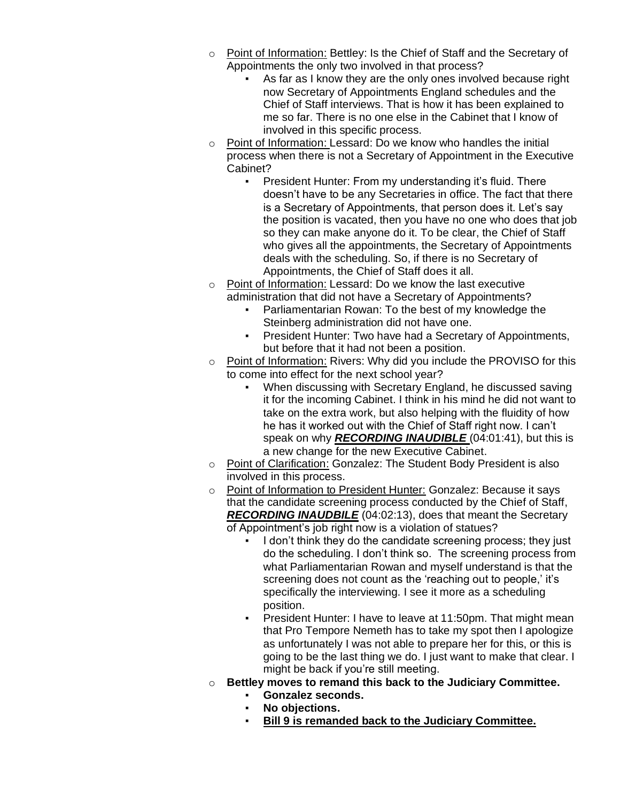- o Point of Information: Bettley: Is the Chief of Staff and the Secretary of Appointments the only two involved in that process?
	- As far as I know they are the only ones involved because right now Secretary of Appointments England schedules and the Chief of Staff interviews. That is how it has been explained to me so far. There is no one else in the Cabinet that I know of involved in this specific process.
- o Point of Information: Lessard: Do we know who handles the initial process when there is not a Secretary of Appointment in the Executive Cabinet?
	- President Hunter: From my understanding it's fluid. There doesn't have to be any Secretaries in office. The fact that there is a Secretary of Appointments, that person does it. Let's say the position is vacated, then you have no one who does that job so they can make anyone do it. To be clear, the Chief of Staff who gives all the appointments, the Secretary of Appointments deals with the scheduling. So, if there is no Secretary of Appointments, the Chief of Staff does it all.
- o Point of Information: Lessard: Do we know the last executive administration that did not have a Secretary of Appointments?
	- Parliamentarian Rowan: To the best of my knowledge the Steinberg administration did not have one.
	- President Hunter: Two have had a Secretary of Appointments, but before that it had not been a position.
- o Point of Information: Rivers: Why did you include the PROVISO for this to come into effect for the next school year?
	- When discussing with Secretary England, he discussed saving it for the incoming Cabinet. I think in his mind he did not want to take on the extra work, but also helping with the fluidity of how he has it worked out with the Chief of Staff right now. I can't speak on why *RECORDING INAUDIBLE* (04:01:41), but this is a new change for the new Executive Cabinet.
- o Point of Clarification: Gonzalez: The Student Body President is also involved in this process.
- o Point of Information to President Hunter: Gonzalez: Because it says that the candidate screening process conducted by the Chief of Staff, *RECORDING INAUDBILE* (04:02:13), does that meant the Secretary of Appointment's job right now is a violation of statues?
	- **.** I don't think they do the candidate screening process; they just do the scheduling. I don't think so. The screening process from what Parliamentarian Rowan and myself understand is that the screening does not count as the 'reaching out to people,' it's specifically the interviewing. I see it more as a scheduling position.
	- President Hunter: I have to leave at 11:50pm. That might mean that Pro Tempore Nemeth has to take my spot then I apologize as unfortunately I was not able to prepare her for this, or this is going to be the last thing we do. I just want to make that clear. I might be back if you're still meeting.
- o **Bettley moves to remand this back to the Judiciary Committee.**
	- **Gonzalez seconds.**
		- No objections.
		- **Bill 9 is remanded back to the Judiciary Committee.**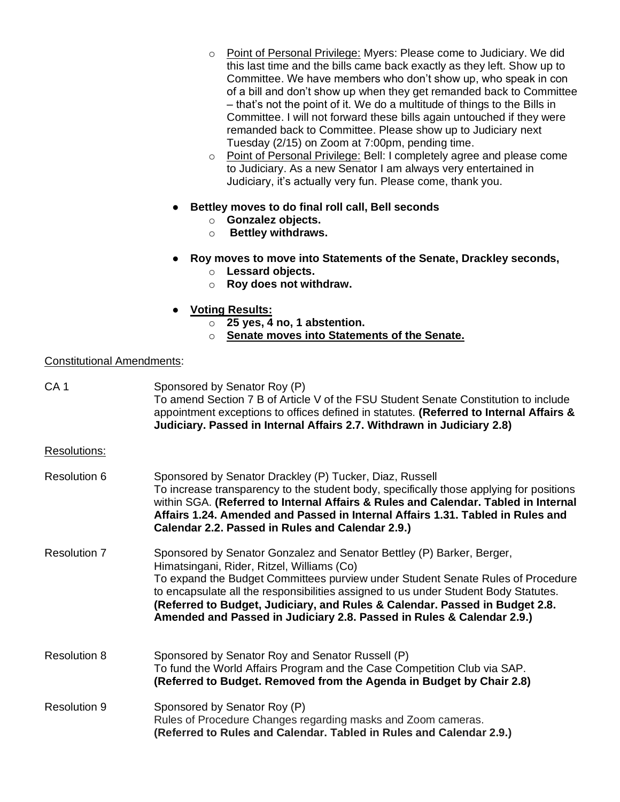- o Point of Personal Privilege: Myers: Please come to Judiciary. We did this last time and the bills came back exactly as they left. Show up to Committee. We have members who don't show up, who speak in con of a bill and don't show up when they get remanded back to Committee – that's not the point of it. We do a multitude of things to the Bills in Committee. I will not forward these bills again untouched if they were remanded back to Committee. Please show up to Judiciary next Tuesday (2/15) on Zoom at 7:00pm, pending time.
- o Point of Personal Privilege: Bell: I completely agree and please come to Judiciary. As a new Senator I am always very entertained in Judiciary, it's actually very fun. Please come, thank you.
- **Bettley moves to do final roll call, Bell seconds**
	- o **Gonzalez objects.**
	- o **Bettley withdraws.**
- **Roy moves to move into Statements of the Senate, Drackley seconds,** 
	- o **Lessard objects.**
	- o **Roy does not withdraw.**
- **Voting Results:**
	- o **25 yes, 4 no, 1 abstention.**
	- o **Senate moves into Statements of the Senate.**

### Constitutional Amendments:

| CA <sub>1</sub>     | Sponsored by Senator Roy (P)<br>To amend Section 7 B of Article V of the FSU Student Senate Constitution to include<br>appointment exceptions to offices defined in statutes. (Referred to Internal Affairs &<br>Judiciary. Passed in Internal Affairs 2.7. Withdrawn in Judiciary 2.8)                                                                                                                                                               |
|---------------------|-------------------------------------------------------------------------------------------------------------------------------------------------------------------------------------------------------------------------------------------------------------------------------------------------------------------------------------------------------------------------------------------------------------------------------------------------------|
| Resolutions:        |                                                                                                                                                                                                                                                                                                                                                                                                                                                       |
| Resolution 6        | Sponsored by Senator Drackley (P) Tucker, Diaz, Russell<br>To increase transparency to the student body, specifically those applying for positions<br>within SGA. (Referred to Internal Affairs & Rules and Calendar. Tabled in Internal<br>Affairs 1.24. Amended and Passed in Internal Affairs 1.31. Tabled in Rules and<br>Calendar 2.2. Passed in Rules and Calendar 2.9.)                                                                        |
| <b>Resolution 7</b> | Sponsored by Senator Gonzalez and Senator Bettley (P) Barker, Berger,<br>Himatsingani, Rider, Ritzel, Williams (Co)<br>To expand the Budget Committees purview under Student Senate Rules of Procedure<br>to encapsulate all the responsibilities assigned to us under Student Body Statutes.<br>(Referred to Budget, Judiciary, and Rules & Calendar. Passed in Budget 2.8.<br>Amended and Passed in Judiciary 2.8. Passed in Rules & Calendar 2.9.) |
| Resolution 8        | Sponsored by Senator Roy and Senator Russell (P)<br>To fund the World Affairs Program and the Case Competition Club via SAP.<br>(Referred to Budget. Removed from the Agenda in Budget by Chair 2.8)                                                                                                                                                                                                                                                  |
| <b>Resolution 9</b> | Sponsored by Senator Roy (P)<br>Rules of Procedure Changes regarding masks and Zoom cameras.<br>(Referred to Rules and Calendar. Tabled in Rules and Calendar 2.9.)                                                                                                                                                                                                                                                                                   |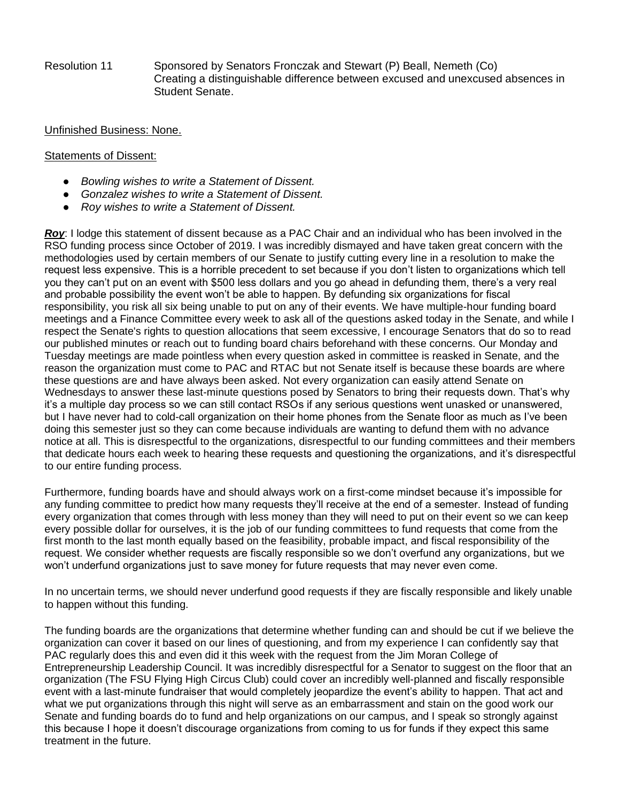Resolution 11 Sponsored by Senators Fronczak and Stewart (P) Beall, Nemeth (Co) Creating a distinguishable difference between excused and unexcused absences in Student Senate.

#### Unfinished Business: None.

#### Statements of Dissent:

- *Bowling wishes to write a Statement of Dissent.*
- *Gonzalez wishes to write a Statement of Dissent.*
- *Roy wishes to write a Statement of Dissent.*

*Roy*: I lodge this statement of dissent because as a PAC Chair and an individual who has been involved in the RSO funding process since October of 2019. I was incredibly dismayed and have taken great concern with the methodologies used by certain members of our Senate to justify cutting every line in a resolution to make the request less expensive. This is a horrible precedent to set because if you don't listen to organizations which tell you they can't put on an event with \$500 less dollars and you go ahead in defunding them, there's a very real and probable possibility the event won't be able to happen. By defunding six organizations for fiscal responsibility, you risk all six being unable to put on any of their events. We have multiple-hour funding board meetings and a Finance Committee every week to ask all of the questions asked today in the Senate, and while I respect the Senate's rights to question allocations that seem excessive, I encourage Senators that do so to read our published minutes or reach out to funding board chairs beforehand with these concerns. Our Monday and Tuesday meetings are made pointless when every question asked in committee is reasked in Senate, and the reason the organization must come to PAC and RTAC but not Senate itself is because these boards are where these questions are and have always been asked. Not every organization can easily attend Senate on Wednesdays to answer these last-minute questions posed by Senators to bring their requests down. That's why it's a multiple day process so we can still contact RSOs if any serious questions went unasked or unanswered, but I have never had to cold-call organization on their home phones from the Senate floor as much as I've been doing this semester just so they can come because individuals are wanting to defund them with no advance notice at all. This is disrespectful to the organizations, disrespectful to our funding committees and their members that dedicate hours each week to hearing these requests and questioning the organizations, and it's disrespectful to our entire funding process.

Furthermore, funding boards have and should always work on a first-come mindset because it's impossible for any funding committee to predict how many requests they'll receive at the end of a semester. Instead of funding every organization that comes through with less money than they will need to put on their event so we can keep every possible dollar for ourselves, it is the job of our funding committees to fund requests that come from the first month to the last month equally based on the feasibility, probable impact, and fiscal responsibility of the request. We consider whether requests are fiscally responsible so we don't overfund any organizations, but we won't underfund organizations just to save money for future requests that may never even come.

In no uncertain terms, we should never underfund good requests if they are fiscally responsible and likely unable to happen without this funding.

The funding boards are the organizations that determine whether funding can and should be cut if we believe the organization can cover it based on our lines of questioning, and from my experience I can confidently say that PAC regularly does this and even did it this week with the request from the Jim Moran College of Entrepreneurship Leadership Council. It was incredibly disrespectful for a Senator to suggest on the floor that an organization (The FSU Flying High Circus Club) could cover an incredibly well-planned and fiscally responsible event with a last-minute fundraiser that would completely jeopardize the event's ability to happen. That act and what we put organizations through this night will serve as an embarrassment and stain on the good work our Senate and funding boards do to fund and help organizations on our campus, and I speak so strongly against this because I hope it doesn't discourage organizations from coming to us for funds if they expect this same treatment in the future.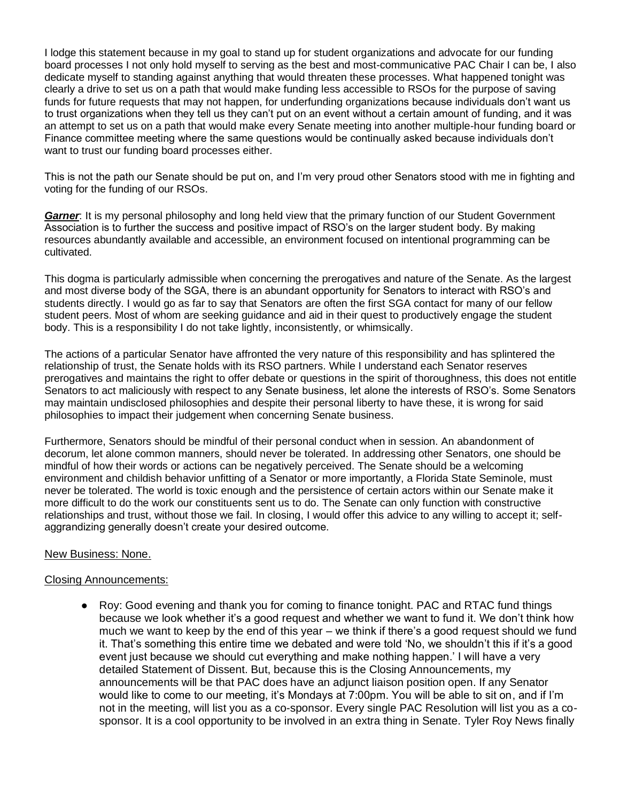I lodge this statement because in my goal to stand up for student organizations and advocate for our funding board processes I not only hold myself to serving as the best and most-communicative PAC Chair I can be, I also dedicate myself to standing against anything that would threaten these processes. What happened tonight was clearly a drive to set us on a path that would make funding less accessible to RSOs for the purpose of saving funds for future requests that may not happen, for underfunding organizations because individuals don't want us to trust organizations when they tell us they can't put on an event without a certain amount of funding, and it was an attempt to set us on a path that would make every Senate meeting into another multiple-hour funding board or Finance committee meeting where the same questions would be continually asked because individuals don't want to trust our funding board processes either.

This is not the path our Senate should be put on, and I'm very proud other Senators stood with me in fighting and voting for the funding of our RSOs.

*Garner*: It is my personal philosophy and long held view that the primary function of our Student Government Association is to further the success and positive impact of RSO's on the larger student body. By making resources abundantly available and accessible, an environment focused on intentional programming can be cultivated.

This dogma is particularly admissible when concerning the prerogatives and nature of the Senate. As the largest and most diverse body of the SGA, there is an abundant opportunity for Senators to interact with RSO's and students directly. I would go as far to say that Senators are often the first SGA contact for many of our fellow student peers. Most of whom are seeking guidance and aid in their quest to productively engage the student body. This is a responsibility I do not take lightly, inconsistently, or whimsically.

The actions of a particular Senator have affronted the very nature of this responsibility and has splintered the relationship of trust, the Senate holds with its RSO partners. While I understand each Senator reserves prerogatives and maintains the right to offer debate or questions in the spirit of thoroughness, this does not entitle Senators to act maliciously with respect to any Senate business, let alone the interests of RSO's. Some Senators may maintain undisclosed philosophies and despite their personal liberty to have these, it is wrong for said philosophies to impact their judgement when concerning Senate business.

Furthermore, Senators should be mindful of their personal conduct when in session. An abandonment of decorum, let alone common manners, should never be tolerated. In addressing other Senators, one should be mindful of how their words or actions can be negatively perceived. The Senate should be a welcoming environment and childish behavior unfitting of a Senator or more importantly, a Florida State Seminole, must never be tolerated. The world is toxic enough and the persistence of certain actors within our Senate make it more difficult to do the work our constituents sent us to do. The Senate can only function with constructive relationships and trust, without those we fail. In closing, I would offer this advice to any willing to accept it; selfaggrandizing generally doesn't create your desired outcome.

# New Business: None.

# Closing Announcements:

• Roy: Good evening and thank you for coming to finance tonight. PAC and RTAC fund things because we look whether it's a good request and whether we want to fund it. We don't think how much we want to keep by the end of this year – we think if there's a good request should we fund it. That's something this entire time we debated and were told 'No, we shouldn't this if it's a good event just because we should cut everything and make nothing happen.' I will have a very detailed Statement of Dissent. But, because this is the Closing Announcements, my announcements will be that PAC does have an adjunct liaison position open. If any Senator would like to come to our meeting, it's Mondays at 7:00pm. You will be able to sit on, and if I'm not in the meeting, will list you as a co-sponsor. Every single PAC Resolution will list you as a cosponsor. It is a cool opportunity to be involved in an extra thing in Senate. Tyler Roy News finally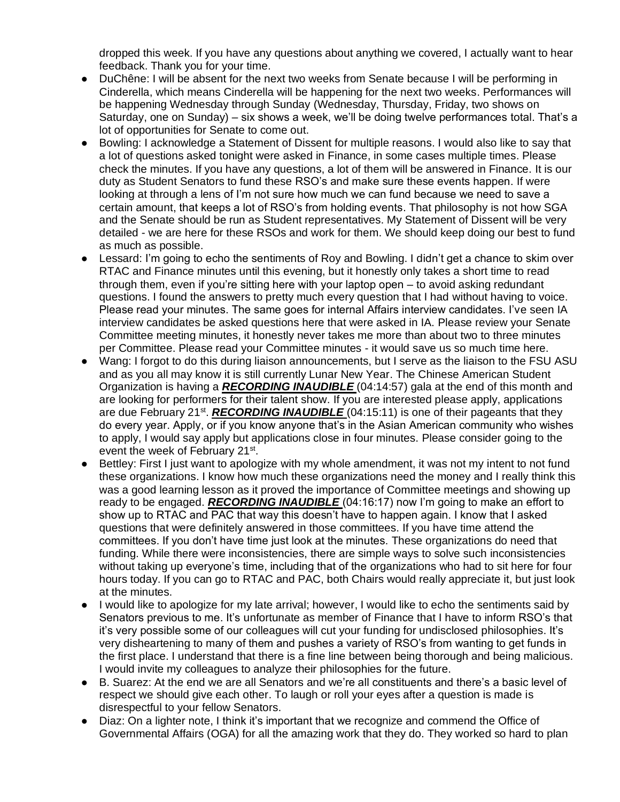dropped this week. If you have any questions about anything we covered, I actually want to hear feedback. Thank you for your time.

- DuChêne: I will be absent for the next two weeks from Senate because I will be performing in Cinderella, which means Cinderella will be happening for the next two weeks. Performances will be happening Wednesday through Sunday (Wednesday, Thursday, Friday, two shows on Saturday, one on Sunday) – six shows a week, we'll be doing twelve performances total. That's a lot of opportunities for Senate to come out.
- Bowling: I acknowledge a Statement of Dissent for multiple reasons. I would also like to say that a lot of questions asked tonight were asked in Finance, in some cases multiple times. Please check the minutes. If you have any questions, a lot of them will be answered in Finance. It is our duty as Student Senators to fund these RSO's and make sure these events happen. If were looking at through a lens of I'm not sure how much we can fund because we need to save a certain amount, that keeps a lot of RSO's from holding events. That philosophy is not how SGA and the Senate should be run as Student representatives. My Statement of Dissent will be very detailed - we are here for these RSOs and work for them. We should keep doing our best to fund as much as possible.
- Lessard: I'm going to echo the sentiments of Roy and Bowling. I didn't get a chance to skim over RTAC and Finance minutes until this evening, but it honestly only takes a short time to read through them, even if you're sitting here with your laptop open – to avoid asking redundant questions. I found the answers to pretty much every question that I had without having to voice. Please read your minutes. The same goes for internal Affairs interview candidates. I've seen IA interview candidates be asked questions here that were asked in IA. Please review your Senate Committee meeting minutes, it honestly never takes me more than about two to three minutes per Committee. Please read your Committee minutes - it would save us so much time here.
- Wang: I forgot to do this during liaison announcements, but I serve as the liaison to the FSU ASU and as you all may know it is still currently Lunar New Year. The Chinese American Student Organization is having a *RECORDING INAUDIBLE* (04:14:57) gala at the end of this month and are looking for performers for their talent show. If you are interested please apply, applications are due February 21<sup>st</sup>. *RECORDING INAUDIBLE* (04:15:11) is one of their pageants that they do every year. Apply, or if you know anyone that's in the Asian American community who wishes to apply, I would say apply but applications close in four minutes. Please consider going to the event the week of February 21<sup>st</sup>.
- Bettley: First I just want to apologize with my whole amendment, it was not my intent to not fund these organizations. I know how much these organizations need the money and I really think this was a good learning lesson as it proved the importance of Committee meetings and showing up ready to be engaged. *RECORDING INAUDIBLE* (04:16:17) now I'm going to make an effort to show up to RTAC and PAC that way this doesn't have to happen again. I know that I asked questions that were definitely answered in those committees. If you have time attend the committees. If you don't have time just look at the minutes. These organizations do need that funding. While there were inconsistencies, there are simple ways to solve such inconsistencies without taking up everyone's time, including that of the organizations who had to sit here for four hours today. If you can go to RTAC and PAC, both Chairs would really appreciate it, but just look at the minutes.
- I would like to apologize for my late arrival; however, I would like to echo the sentiments said by Senators previous to me. It's unfortunate as member of Finance that I have to inform RSO's that it's very possible some of our colleagues will cut your funding for undisclosed philosophies. It's very disheartening to many of them and pushes a variety of RSO's from wanting to get funds in the first place. I understand that there is a fine line between being thorough and being malicious. I would invite my colleagues to analyze their philosophies for the future.
- B. Suarez: At the end we are all Senators and we're all constituents and there's a basic level of respect we should give each other. To laugh or roll your eyes after a question is made is disrespectful to your fellow Senators.
- Diaz: On a lighter note, I think it's important that we recognize and commend the Office of Governmental Affairs (OGA) for all the amazing work that they do. They worked so hard to plan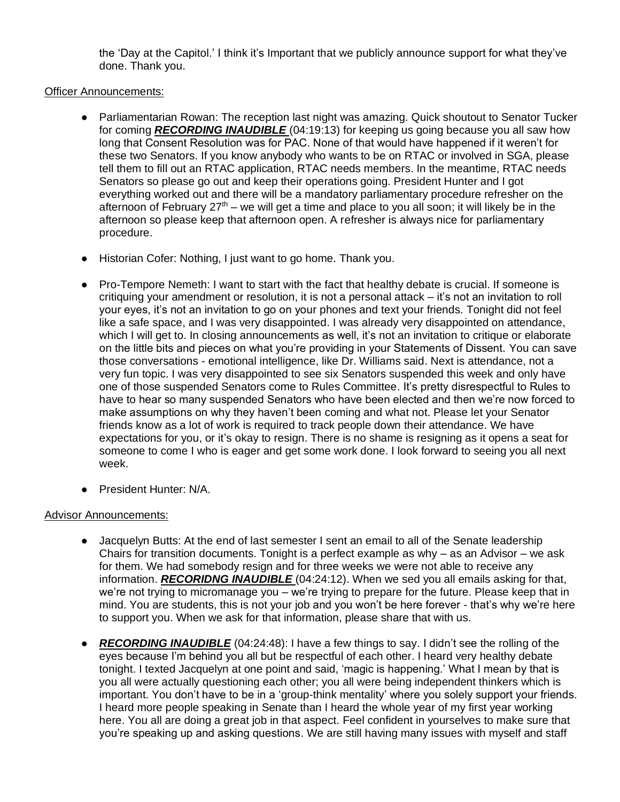the 'Day at the Capitol.' I think it's Important that we publicly announce support for what they've done. Thank you.

# Officer Announcements:

- Parliamentarian Rowan: The reception last night was amazing. Quick shoutout to Senator Tucker for coming *RECORDING INAUDIBLE* (04:19:13) for keeping us going because you all saw how long that Consent Resolution was for PAC. None of that would have happened if it weren't for these two Senators. If you know anybody who wants to be on RTAC or involved in SGA, please tell them to fill out an RTAC application, RTAC needs members. In the meantime, RTAC needs Senators so please go out and keep their operations going. President Hunter and I got everything worked out and there will be a mandatory parliamentary procedure refresher on the afternoon of February  $27<sup>th</sup>$  – we will get a time and place to you all soon; it will likely be in the afternoon so please keep that afternoon open. A refresher is always nice for parliamentary procedure.
- Historian Cofer: Nothing, I just want to go home. Thank you.
- Pro-Tempore Nemeth: I want to start with the fact that healthy debate is crucial. If someone is critiquing your amendment or resolution, it is not a personal attack – it's not an invitation to roll your eyes, it's not an invitation to go on your phones and text your friends. Tonight did not feel like a safe space, and I was very disappointed. I was already very disappointed on attendance, which I will get to. In closing announcements as well, it's not an invitation to critique or elaborate on the little bits and pieces on what you're providing in your Statements of Dissent. You can save those conversations - emotional intelligence, like Dr. Williams said. Next is attendance, not a very fun topic. I was very disappointed to see six Senators suspended this week and only have one of those suspended Senators come to Rules Committee. It's pretty disrespectful to Rules to have to hear so many suspended Senators who have been elected and then we're now forced to make assumptions on why they haven't been coming and what not. Please let your Senator friends know as a lot of work is required to track people down their attendance. We have expectations for you, or it's okay to resign. There is no shame is resigning as it opens a seat for someone to come I who is eager and get some work done. I look forward to seeing you all next week.
- President Hunter: N/A.

# Advisor Announcements:

- Jacquelyn Butts: At the end of last semester I sent an email to all of the Senate leadership Chairs for transition documents. Tonight is a perfect example as why – as an Advisor – we ask for them. We had somebody resign and for three weeks we were not able to receive any information. *RECORIDNG INAUDIBLE* (04:24:12). When we sed you all emails asking for that, we're not trying to micromanage you – we're trying to prepare for the future. Please keep that in mind. You are students, this is not your job and you won't be here forever - that's why we're here to support you. When we ask for that information, please share that with us.
- *RECORDING INAUDIBLE* (04:24:48): I have a few things to say. I didn't see the rolling of the eyes because I'm behind you all but be respectful of each other. I heard very healthy debate tonight. I texted Jacquelyn at one point and said, 'magic is happening.' What I mean by that is you all were actually questioning each other; you all were being independent thinkers which is important. You don't have to be in a 'group-think mentality' where you solely support your friends. I heard more people speaking in Senate than I heard the whole year of my first year working here. You all are doing a great job in that aspect. Feel confident in yourselves to make sure that you're speaking up and asking questions. We are still having many issues with myself and staff